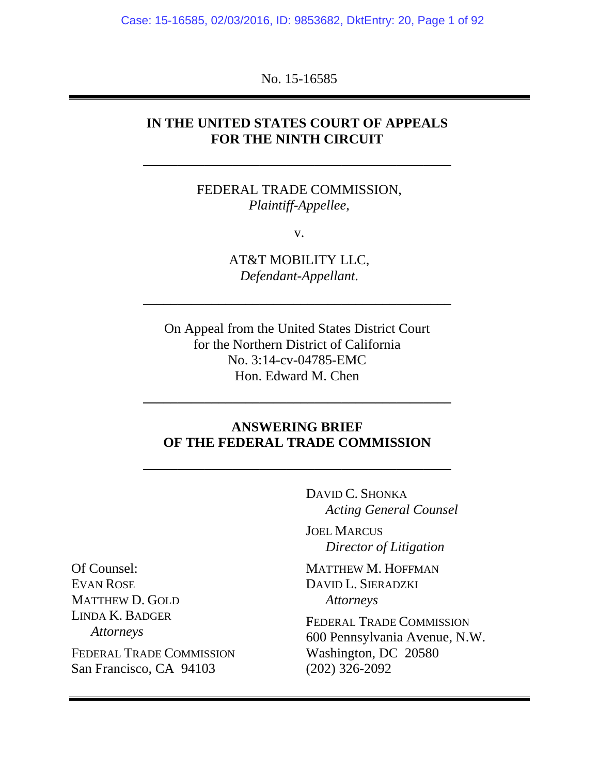Case: 15-16585, 02/03/2016, ID: 9853682, DktEntry: 20, Page 1 of 92

No. 15-16585

## **IN THE UNITED STATES COURT OF APPEALS FOR THE NINTH CIRCUIT**

FEDERAL TRADE COMMISSION, *Plaintiff-Appellee*,

**–––––––––––––––––––––––––––––––––––––––––––––** 

v.

AT&T MOBILITY LLC, *Defendant-Appellant*.

**–––––––––––––––––––––––––––––––––––––––––––––** 

On Appeal from the United States District Court for the Northern District of California No. 3:14-cv-04785-EMC Hon. Edward M. Chen

## **ANSWERING BRIEF OF THE FEDERAL TRADE COMMISSION**

**–––––––––––––––––––––––––––––––––––––––––––––** 

**–––––––––––––––––––––––––––––––––––––––––––––** 

 DAVID C. SHONKA *Acting General Counsel* 

JOEL MARCUS *Director of Litigation* 

MATTHEW M. HOFFMAN DAVID L. SIERADZKI *Attorneys* 

FEDERAL TRADE COMMISSION 600 Pennsylvania Avenue, N.W. Washington, DC 20580 (202) 326-2092

Of Counsel: EVAN ROSE MATTHEW D. GOLD LINDA K. BADGER *Attorneys*  FEDERAL TRADE COMMISSION San Francisco, CA 94103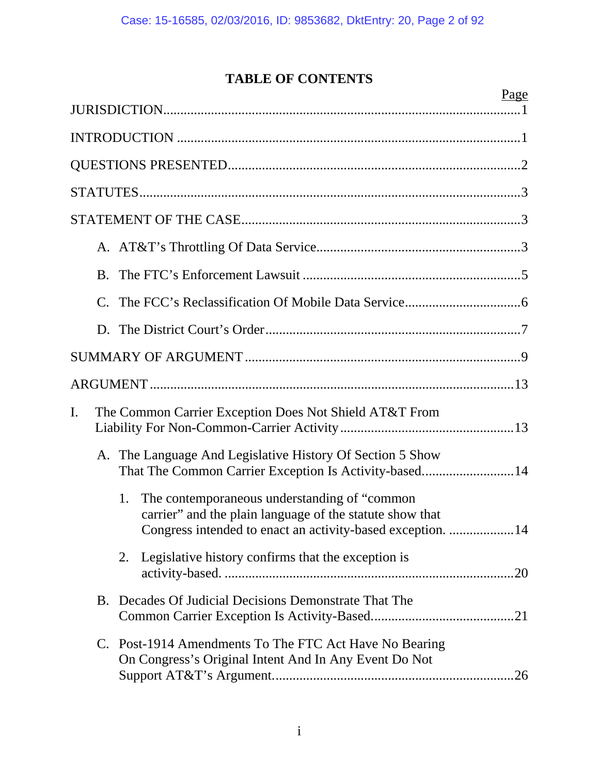# **TABLE OF CONTENTS**

|    |    | Page                                                                                                                                                                          |
|----|----|-------------------------------------------------------------------------------------------------------------------------------------------------------------------------------|
|    |    |                                                                                                                                                                               |
|    |    |                                                                                                                                                                               |
|    |    |                                                                                                                                                                               |
|    |    |                                                                                                                                                                               |
|    |    |                                                                                                                                                                               |
|    |    |                                                                                                                                                                               |
|    |    |                                                                                                                                                                               |
|    |    |                                                                                                                                                                               |
|    |    |                                                                                                                                                                               |
|    |    |                                                                                                                                                                               |
|    |    |                                                                                                                                                                               |
| I. |    | The Common Carrier Exception Does Not Shield AT&T From                                                                                                                        |
|    |    | A. The Language And Legislative History Of Section 5 Show<br>That The Common Carrier Exception Is Activity-based14                                                            |
|    |    | The contemporaneous understanding of "common"<br>1.<br>carrier" and the plain language of the statute show that<br>Congress intended to enact an activity-based exception. 14 |
|    |    | Legislative history confirms that the exception is<br>2.                                                                                                                      |
|    | Β. | Decades Of Judicial Decisions Demonstrate That The                                                                                                                            |
|    |    | C. Post-1914 Amendments To The FTC Act Have No Bearing<br>On Congress's Original Intent And In Any Event Do Not                                                               |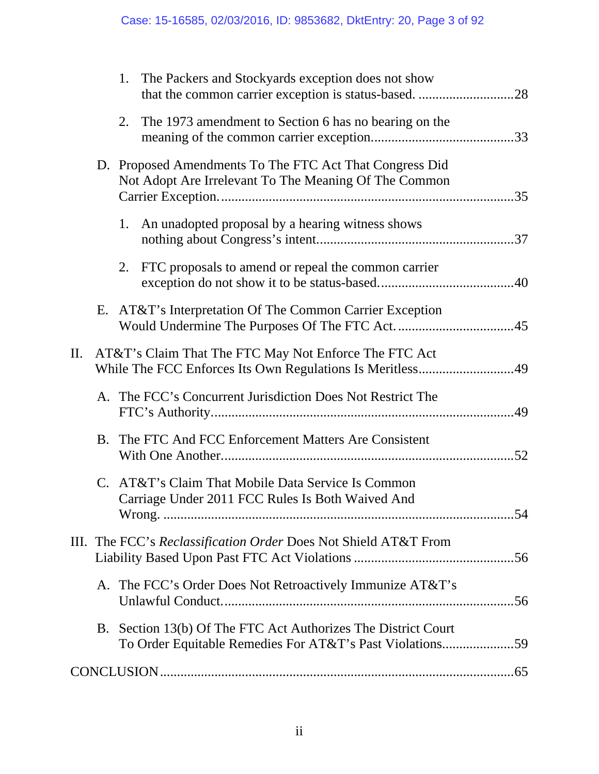|    |    | 1. The Packers and Stockyards exception does not show                                                                     |  |
|----|----|---------------------------------------------------------------------------------------------------------------------------|--|
|    | 2. | The 1973 amendment to Section 6 has no bearing on the                                                                     |  |
|    |    | D. Proposed Amendments To The FTC Act That Congress Did<br>Not Adopt Are Irrelevant To The Meaning Of The Common          |  |
|    |    | 1. An unadopted proposal by a hearing witness shows                                                                       |  |
|    | 2. | FTC proposals to amend or repeal the common carrier                                                                       |  |
|    |    | E. AT&T's Interpretation Of The Common Carrier Exception                                                                  |  |
| П. |    | AT&T's Claim That The FTC May Not Enforce The FTC Act<br>While The FCC Enforces Its Own Regulations Is Meritless49        |  |
|    |    | A. The FCC's Concurrent Jurisdiction Does Not Restrict The                                                                |  |
|    |    | B. The FTC And FCC Enforcement Matters Are Consistent                                                                     |  |
|    |    | C. AT&T's Claim That Mobile Data Service Is Common<br>Carriage Under 2011 FCC Rules Is Both Waived And                    |  |
|    |    | III. The FCC's Reclassification Order Does Not Shield AT&T From                                                           |  |
|    |    | A. The FCC's Order Does Not Retroactively Immunize AT&T's                                                                 |  |
|    |    | B. Section 13(b) Of The FTC Act Authorizes The District Court<br>To Order Equitable Remedies For AT&T's Past Violations59 |  |
|    |    |                                                                                                                           |  |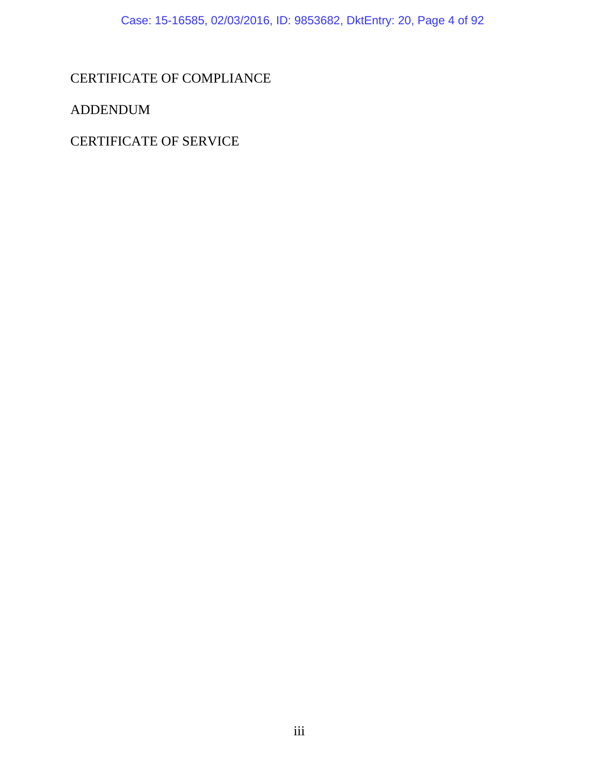# CERTIFICATE OF COMPLIANCE

ADDENDUM

CERTIFICATE OF SERVICE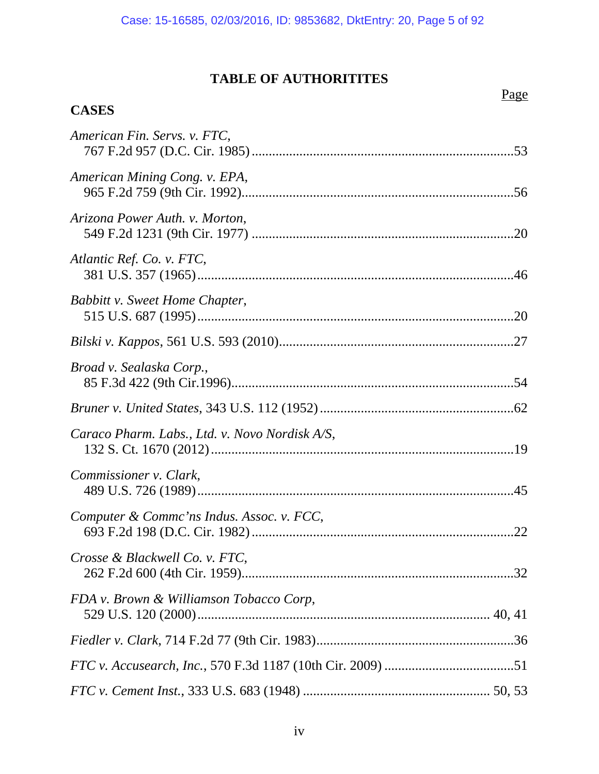# **TABLE OF AUTHORITITES**

# Page

# **CASES**

| American Fin. Servs. v. FTC,                   |  |
|------------------------------------------------|--|
| American Mining Cong. v. EPA,                  |  |
| Arizona Power Auth. v. Morton,                 |  |
| Atlantic Ref. Co. v. FTC,                      |  |
| Babbitt v. Sweet Home Chapter,                 |  |
|                                                |  |
| Broad v. Sealaska Corp.,                       |  |
|                                                |  |
| Caraco Pharm. Labs., Ltd. v. Novo Nordisk A/S, |  |
| Commissioner v. Clark,                         |  |
| Computer & Commc'ns Indus. Assoc. v. FCC,      |  |
| Crosse & Blackwell Co. v. FTC,                 |  |
| FDA v. Brown & Williamson Tobacco Corp,        |  |
|                                                |  |
|                                                |  |
|                                                |  |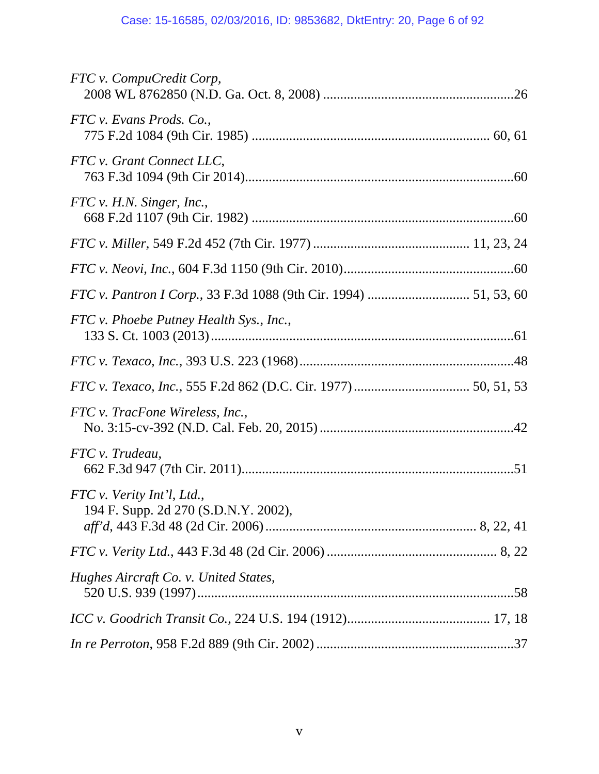| FTC v. CompuCredit Corp,                                           |
|--------------------------------------------------------------------|
| FTC v. Evans Prods. Co.,                                           |
| FTC v. Grant Connect LLC,                                          |
| FTC v. H.N. Singer, Inc.,                                          |
|                                                                    |
|                                                                    |
|                                                                    |
| FTC v. Phoebe Putney Health Sys., Inc.,                            |
|                                                                    |
|                                                                    |
| FTC v. TracFone Wireless, Inc.,                                    |
| FTC v. Trudeau,                                                    |
| FTC v. Verity Int'l, Ltd.,<br>194 F. Supp. 2d 270 (S.D.N.Y. 2002), |
|                                                                    |
| Hughes Aircraft Co. v. United States,                              |
|                                                                    |
|                                                                    |
|                                                                    |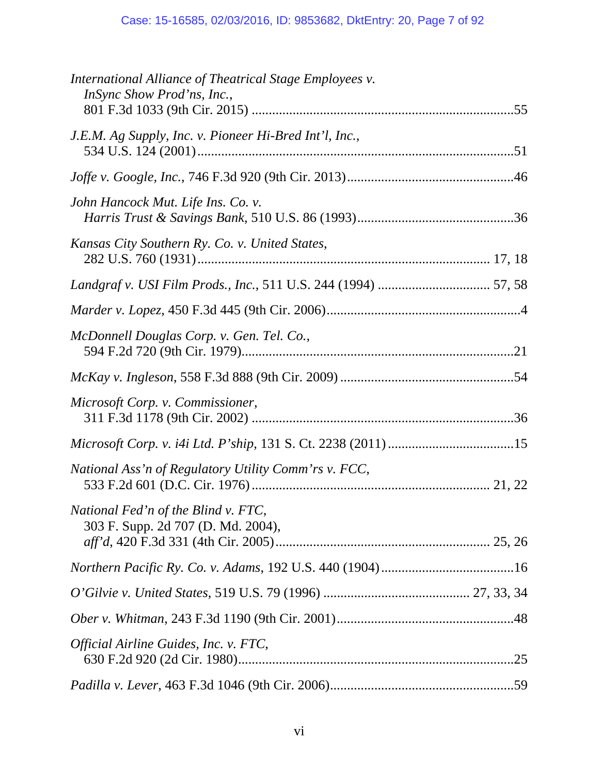| International Alliance of Theatrical Stage Employees v.<br>InSync Show Prod'ns, Inc., |
|---------------------------------------------------------------------------------------|
| J.E.M. Ag Supply, Inc. v. Pioneer Hi-Bred Int'l, Inc.,                                |
|                                                                                       |
| John Hancock Mut. Life Ins. Co. v.                                                    |
| Kansas City Southern Ry. Co. v. United States,                                        |
|                                                                                       |
|                                                                                       |
| McDonnell Douglas Corp. v. Gen. Tel. Co.,                                             |
|                                                                                       |
| Microsoft Corp. v. Commissioner,                                                      |
|                                                                                       |
| National Ass'n of Regulatory Utility Comm'rs v. FCC,                                  |
| National Fed'n of the Blind v. FTC,<br>303 F. Supp. 2d 707 (D. Md. 2004),             |
|                                                                                       |
|                                                                                       |
|                                                                                       |
| Official Airline Guides, Inc. v. FTC,                                                 |
|                                                                                       |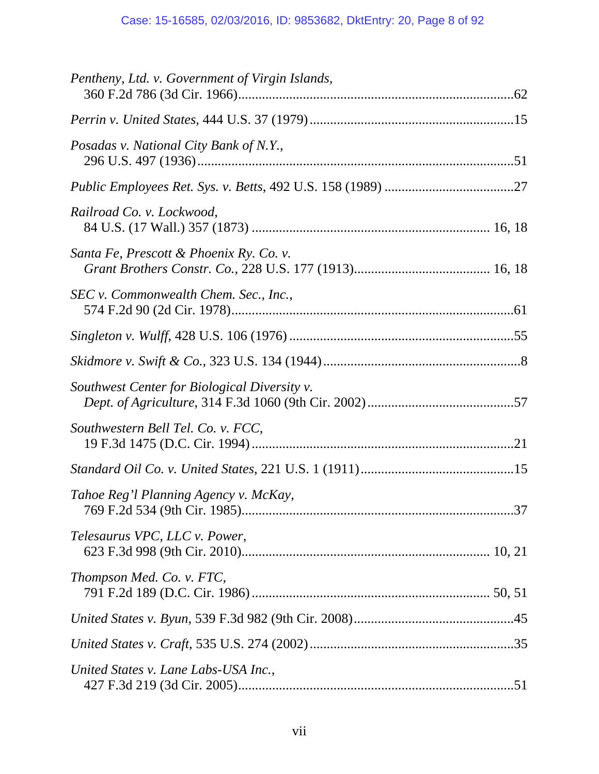| Pentheny, Ltd. v. Government of Virgin Islands, |  |
|-------------------------------------------------|--|
|                                                 |  |
| Posadas v. National City Bank of N.Y.,          |  |
|                                                 |  |
| Railroad Co. v. Lockwood,                       |  |
| Santa Fe, Prescott & Phoenix Ry. Co. v.         |  |
| SEC v. Commonwealth Chem. Sec., Inc.,           |  |
|                                                 |  |
|                                                 |  |
| Southwest Center for Biological Diversity v.    |  |
| Southwestern Bell Tel. Co. v. FCC,              |  |
|                                                 |  |
| Tahoe Reg'l Planning Agency v. McKay,           |  |
| Telesaurus VPC, LLC v. Power,                   |  |
| Thompson Med. Co. v. FTC,                       |  |
|                                                 |  |
|                                                 |  |
| United States v. Lane Labs-USA Inc.,            |  |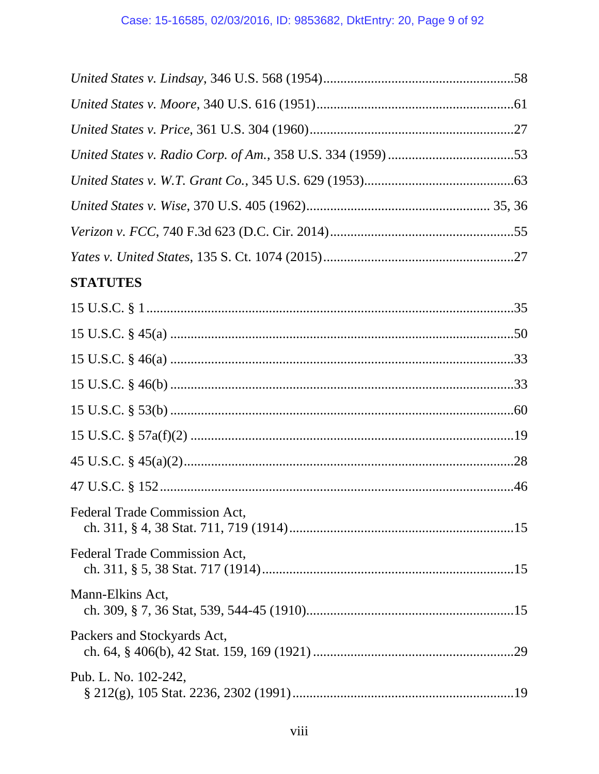| <b>STATUTES</b>               |  |
|-------------------------------|--|
|                               |  |
|                               |  |
|                               |  |
|                               |  |
|                               |  |
|                               |  |
|                               |  |
|                               |  |
| Federal Trade Commission Act, |  |
| Federal Trade Commission Act, |  |
| Mann-Elkins Act,              |  |
| Packers and Stockyards Act,   |  |
| Pub. L. No. 102-242,          |  |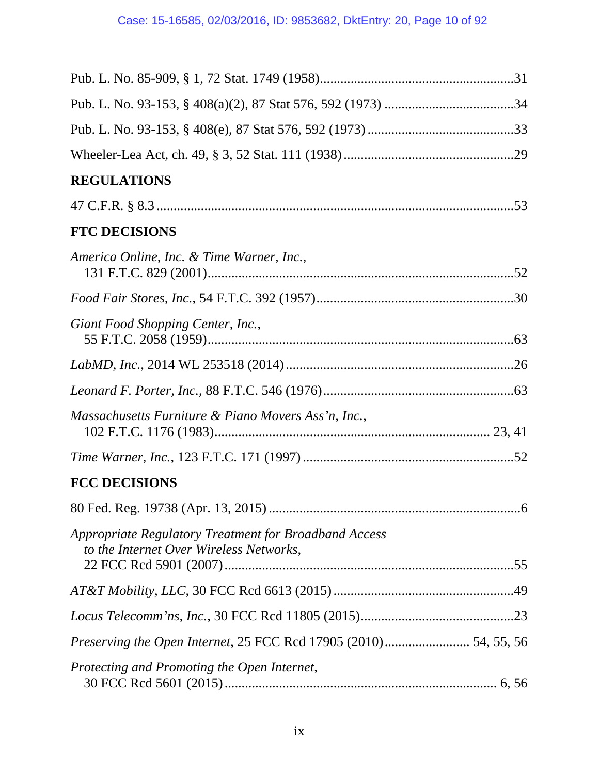| <b>REGULATIONS</b>                                                                                      |
|---------------------------------------------------------------------------------------------------------|
|                                                                                                         |
| <b>FTC DECISIONS</b>                                                                                    |
| America Online, Inc. & Time Warner, Inc.,                                                               |
|                                                                                                         |
| Giant Food Shopping Center, Inc.,                                                                       |
|                                                                                                         |
|                                                                                                         |
| Massachusetts Furniture & Piano Movers Ass'n, Inc.,                                                     |
|                                                                                                         |
| <b>FCC DECISIONS</b>                                                                                    |
|                                                                                                         |
| <b>Appropriate Regulatory Treatment for Broadband Access</b><br>to the Internet Over Wireless Networks, |
|                                                                                                         |
|                                                                                                         |
|                                                                                                         |
|                                                                                                         |
| Protecting and Promoting the Open Internet,                                                             |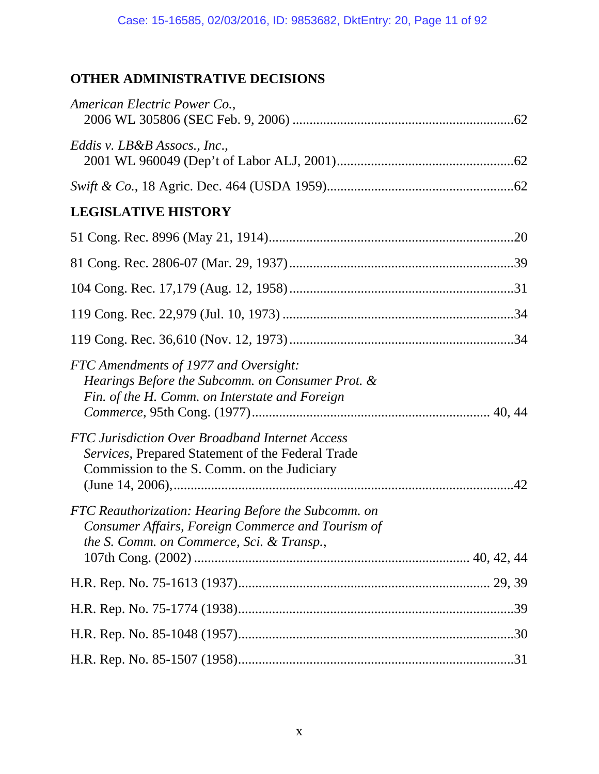# **OTHER ADMINISTRATIVE DECISIONS**

| American Electric Power Co.,                                                                                                                          |
|-------------------------------------------------------------------------------------------------------------------------------------------------------|
| Eddis v. LB&B Assocs., Inc.,                                                                                                                          |
|                                                                                                                                                       |
| <b>LEGISLATIVE HISTORY</b>                                                                                                                            |
|                                                                                                                                                       |
|                                                                                                                                                       |
|                                                                                                                                                       |
|                                                                                                                                                       |
|                                                                                                                                                       |
| FTC Amendments of 1977 and Oversight:<br>Hearings Before the Subcomm. on Consumer Prot. &<br>Fin. of the H. Comm. on Interstate and Foreign           |
| FTC Jurisdiction Over Broadband Internet Access<br>Services, Prepared Statement of the Federal Trade<br>Commission to the S. Comm. on the Judiciary   |
| FTC Reauthorization: Hearing Before the Subcomm. on<br>Consumer Affairs, Foreign Commerce and Tourism of<br>the S. Comm. on Commerce, Sci. & Transp., |
|                                                                                                                                                       |
|                                                                                                                                                       |
|                                                                                                                                                       |
|                                                                                                                                                       |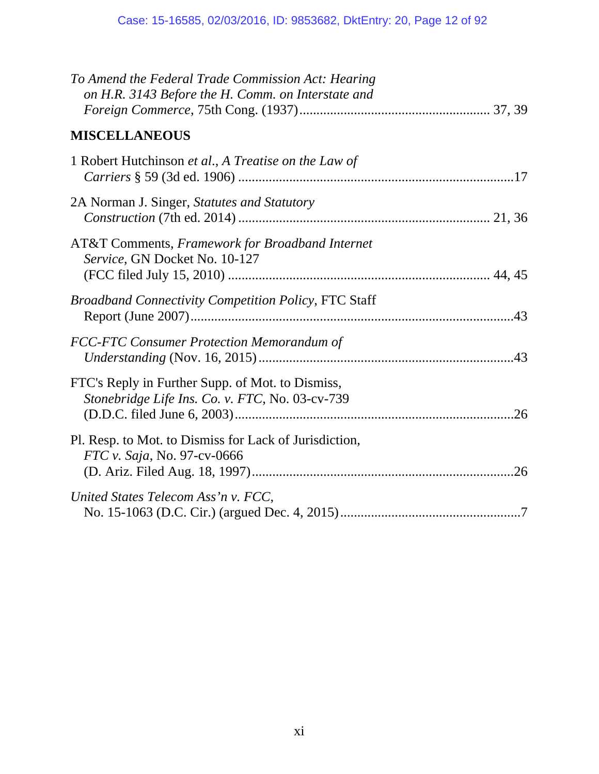| To Amend the Federal Trade Commission Act: Hearing<br>on H.R. 3143 Before the H. Comm. on Interstate and |
|----------------------------------------------------------------------------------------------------------|
| <b>MISCELLANEOUS</b>                                                                                     |
| 1 Robert Hutchinson et al., A Treatise on the Law of                                                     |
| 2A Norman J. Singer, Statutes and Statutory                                                              |
| <b>AT&amp;T Comments, Framework for Broadband Internet</b><br>Service, GN Docket No. 10-127              |
| <b>Broadband Connectivity Competition Policy, FTC Staff</b>                                              |
| <b>FCC-FTC Consumer Protection Memorandum of</b>                                                         |
| FTC's Reply in Further Supp. of Mot. to Dismiss,<br>Stonebridge Life Ins. Co. v. FTC, No. 03-cv-739      |
| Pl. Resp. to Mot. to Dismiss for Lack of Jurisdiction,<br><i>FTC v. Saja, No. 97-cv-0666</i>             |
| United States Telecom Ass'n v. FCC,                                                                      |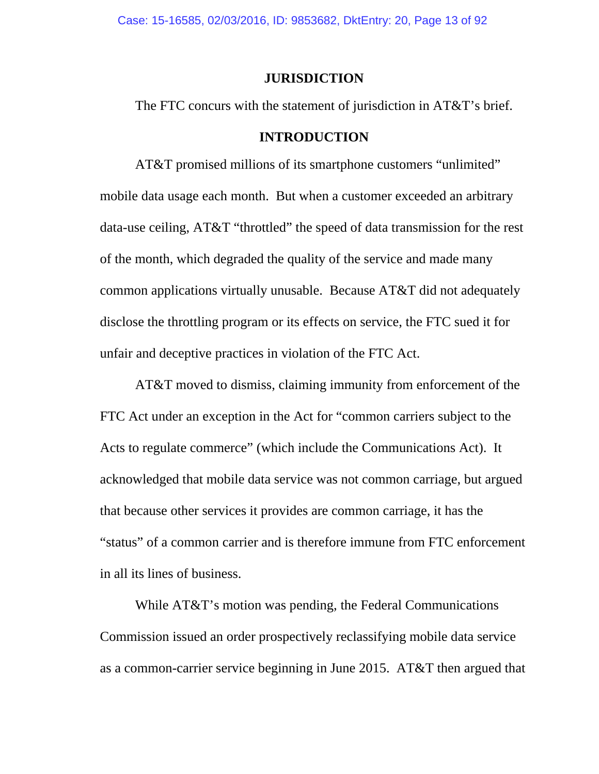Case: 15-16585, 02/03/2016, ID: 9853682, DktEntry: 20, Page 13 of 92

### **JURISDICTION**

The FTC concurs with the statement of jurisdiction in AT&T's brief.

### **INTRODUCTION**

AT&T promised millions of its smartphone customers "unlimited" mobile data usage each month. But when a customer exceeded an arbitrary data-use ceiling, AT&T "throttled" the speed of data transmission for the rest of the month, which degraded the quality of the service and made many common applications virtually unusable. Because AT&T did not adequately disclose the throttling program or its effects on service, the FTC sued it for unfair and deceptive practices in violation of the FTC Act.

AT&T moved to dismiss, claiming immunity from enforcement of the FTC Act under an exception in the Act for "common carriers subject to the Acts to regulate commerce" (which include the Communications Act). It acknowledged that mobile data service was not common carriage, but argued that because other services it provides are common carriage, it has the "status" of a common carrier and is therefore immune from FTC enforcement in all its lines of business.

While AT&T's motion was pending, the Federal Communications Commission issued an order prospectively reclassifying mobile data service as a common-carrier service beginning in June 2015. AT&T then argued that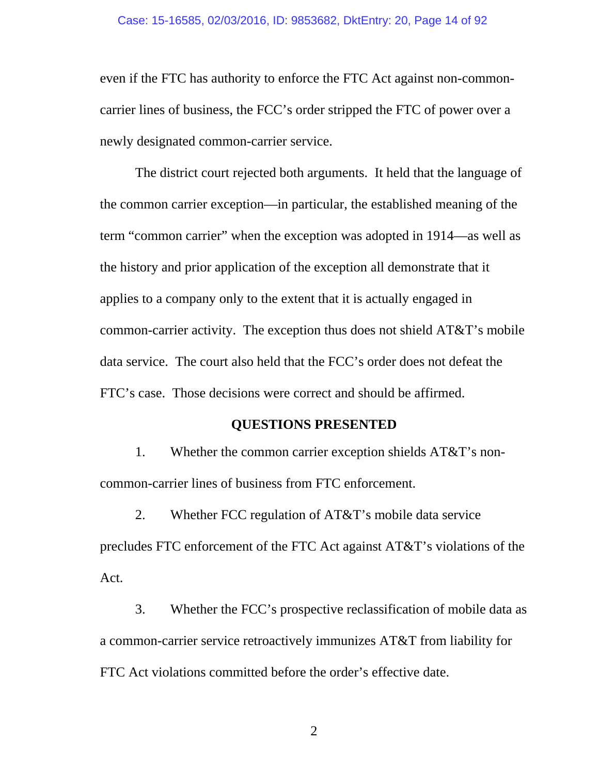even if the FTC has authority to enforce the FTC Act against non-commoncarrier lines of business, the FCC's order stripped the FTC of power over a newly designated common-carrier service.

The district court rejected both arguments. It held that the language of the common carrier exception—in particular, the established meaning of the term "common carrier" when the exception was adopted in 1914—as well as the history and prior application of the exception all demonstrate that it applies to a company only to the extent that it is actually engaged in common-carrier activity. The exception thus does not shield AT&T's mobile data service. The court also held that the FCC's order does not defeat the FTC's case. Those decisions were correct and should be affirmed.

## **QUESTIONS PRESENTED**

1. Whether the common carrier exception shields AT&T's noncommon-carrier lines of business from FTC enforcement.

2. Whether FCC regulation of AT&T's mobile data service precludes FTC enforcement of the FTC Act against AT&T's violations of the Act.

3. Whether the FCC's prospective reclassification of mobile data as a common-carrier service retroactively immunizes AT&T from liability for FTC Act violations committed before the order's effective date.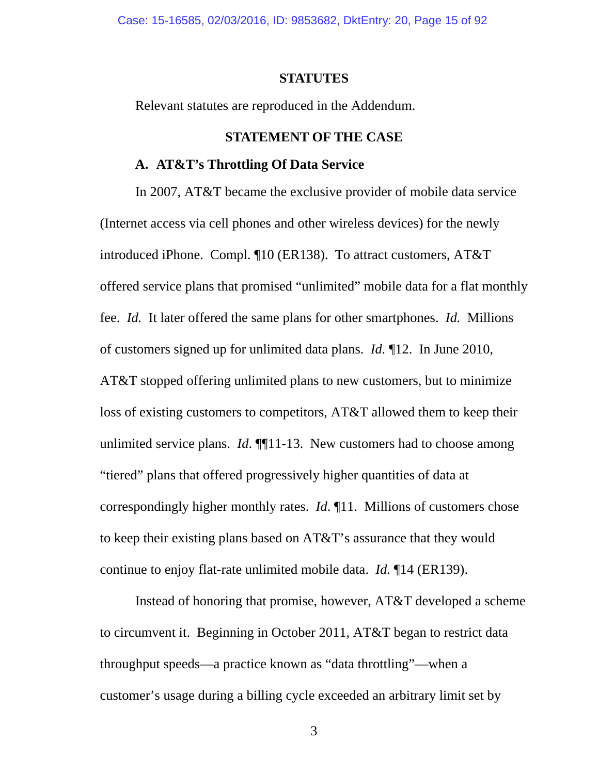Case: 15-16585, 02/03/2016, ID: 9853682, DktEntry: 20, Page 15 of 92

### **STATUTES**

Relevant statutes are reproduced in the Addendum.

## **STATEMENT OF THE CASE**

#### **A. AT&T's Throttling Of Data Service**

In 2007, AT&T became the exclusive provider of mobile data service (Internet access via cell phones and other wireless devices) for the newly introduced iPhone. Compl. ¶10 (ER138). To attract customers, AT&T offered service plans that promised "unlimited" mobile data for a flat monthly fee. *Id.* It later offered the same plans for other smartphones. *Id.* Millions of customers signed up for unlimited data plans. *Id.* ¶12. In June 2010, AT&T stopped offering unlimited plans to new customers, but to minimize loss of existing customers to competitors, AT&T allowed them to keep their unlimited service plans. *Id*. **[1**] 1-13. New customers had to choose among "tiered" plans that offered progressively higher quantities of data at correspondingly higher monthly rates. *Id*. ¶11. Millions of customers chose to keep their existing plans based on AT&T's assurance that they would continue to enjoy flat-rate unlimited mobile data. *Id.* ¶14 (ER139).

Instead of honoring that promise, however, AT&T developed a scheme to circumvent it. Beginning in October 2011, AT&T began to restrict data throughput speeds—a practice known as "data throttling"—when a customer's usage during a billing cycle exceeded an arbitrary limit set by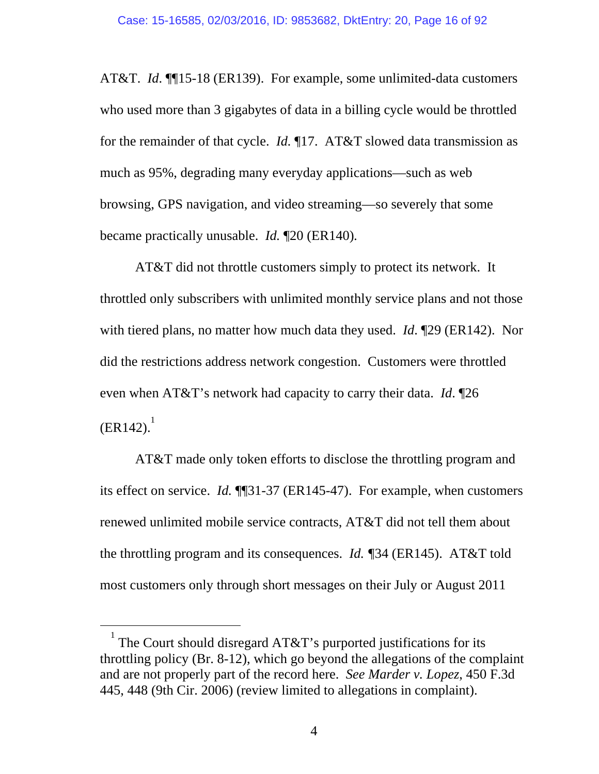AT&T. *Id*. ¶¶15-18 (ER139). For example, some unlimited-data customers who used more than 3 gigabytes of data in a billing cycle would be throttled for the remainder of that cycle. *Id.* ¶17. AT&T slowed data transmission as much as 95%, degrading many everyday applications—such as web browsing, GPS navigation, and video streaming—so severely that some became practically unusable. *Id.* ¶20 (ER140)*.*

AT&T did not throttle customers simply to protect its network. It throttled only subscribers with unlimited monthly service plans and not those with tiered plans, no matter how much data they used. *Id*. ¶29 (ER142). Nor did the restrictions address network congestion. Customers were throttled even when AT&T's network had capacity to carry their data. *Id*. ¶26  $(ER142).$ <sup>1</sup>

AT&T made only token efforts to disclose the throttling program and its effect on service. *Id.* ¶¶31-37 (ER145-47). For example, when customers renewed unlimited mobile service contracts, AT&T did not tell them about the throttling program and its consequences. *Id. ¶*34 (ER145). AT&T told most customers only through short messages on their July or August 2011

 $\frac{1}{1}$  The Court should disregard AT&T's purported justifications for its throttling policy (Br. 8-12), which go beyond the allegations of the complaint and are not properly part of the record here. *See Marder v. Lopez*, 450 F.3d 445, 448 (9th Cir. 2006) (review limited to allegations in complaint).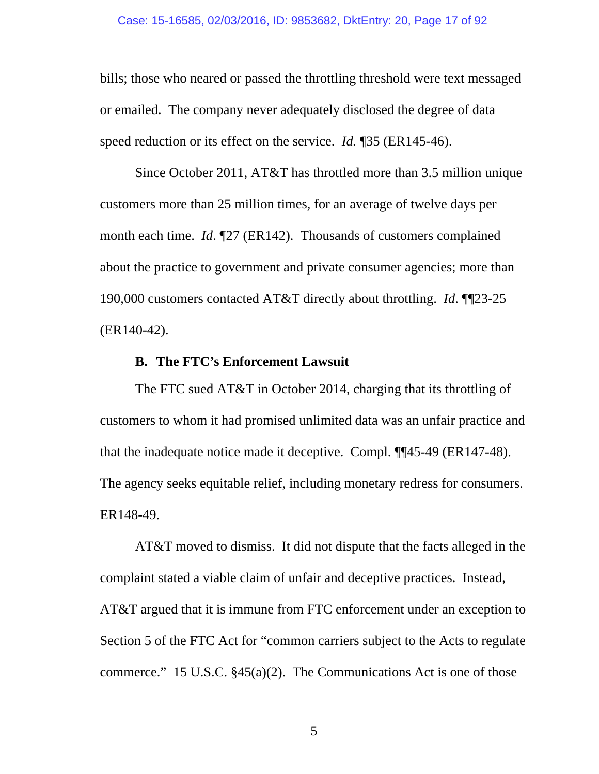bills; those who neared or passed the throttling threshold were text messaged or emailed. The company never adequately disclosed the degree of data speed reduction or its effect on the service. *Id.* ¶35 (ER145-46).

Since October 2011, AT&T has throttled more than 3.5 million unique customers more than 25 million times, for an average of twelve days per month each time. *Id*. ¶27 (ER142). Thousands of customers complained about the practice to government and private consumer agencies; more than 190,000 customers contacted AT&T directly about throttling. *Id*. ¶¶23-25 (ER140-42).

## **B. The FTC's Enforcement Lawsuit**

The FTC sued AT&T in October 2014, charging that its throttling of customers to whom it had promised unlimited data was an unfair practice and that the inadequate notice made it deceptive. Compl. ¶¶45-49 (ER147-48). The agency seeks equitable relief, including monetary redress for consumers. ER148-49.

AT&T moved to dismiss. It did not dispute that the facts alleged in the complaint stated a viable claim of unfair and deceptive practices. Instead, AT&T argued that it is immune from FTC enforcement under an exception to Section 5 of the FTC Act for "common carriers subject to the Acts to regulate commerce." 15 U.S.C. §45(a)(2). The Communications Act is one of those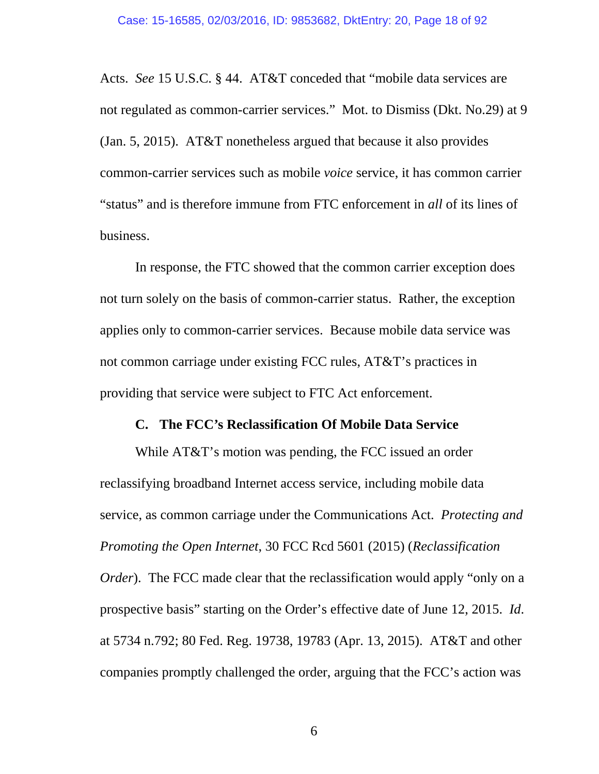Acts. *See* 15 U.S.C. § 44. AT&T conceded that "mobile data services are not regulated as common-carrier services." Mot. to Dismiss (Dkt. No.29) at 9 (Jan. 5, 2015). AT&T nonetheless argued that because it also provides common-carrier services such as mobile *voice* service, it has common carrier "status" and is therefore immune from FTC enforcement in *all* of its lines of business.

In response, the FTC showed that the common carrier exception does not turn solely on the basis of common-carrier status. Rather, the exception applies only to common-carrier services. Because mobile data service was not common carriage under existing FCC rules, AT&T's practices in providing that service were subject to FTC Act enforcement.

### **C. The FCC's Reclassification Of Mobile Data Service**

While AT&T's motion was pending, the FCC issued an order reclassifying broadband Internet access service, including mobile data service, as common carriage under the Communications Act. *Protecting and Promoting the Open Internet*, 30 FCC Rcd 5601 (2015) (*Reclassification Order*). The FCC made clear that the reclassification would apply "only on a prospective basis" starting on the Order's effective date of June 12, 2015. *Id*. at 5734 n.792; 80 Fed. Reg. 19738, 19783 (Apr. 13, 2015). AT&T and other companies promptly challenged the order, arguing that the FCC's action was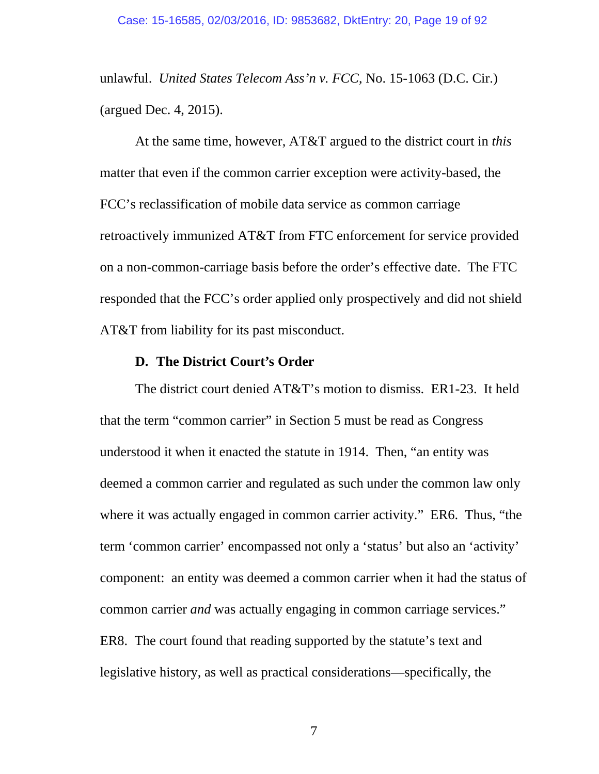unlawful. *United States Telecom Ass'n v. FCC*, No. 15-1063 (D.C. Cir.) (argued Dec. 4, 2015).

At the same time, however, AT&T argued to the district court in *this* matter that even if the common carrier exception were activity-based, the FCC's reclassification of mobile data service as common carriage retroactively immunized AT&T from FTC enforcement for service provided on a non-common-carriage basis before the order's effective date. The FTC responded that the FCC's order applied only prospectively and did not shield AT&T from liability for its past misconduct.

## **D. The District Court's Order**

The district court denied AT&T's motion to dismiss. ER1-23. It held that the term "common carrier" in Section 5 must be read as Congress understood it when it enacted the statute in 1914. Then, "an entity was deemed a common carrier and regulated as such under the common law only where it was actually engaged in common carrier activity." ER6. Thus, "the term 'common carrier' encompassed not only a 'status' but also an 'activity' component: an entity was deemed a common carrier when it had the status of common carrier *and* was actually engaging in common carriage services." ER8. The court found that reading supported by the statute's text and legislative history, as well as practical considerations—specifically, the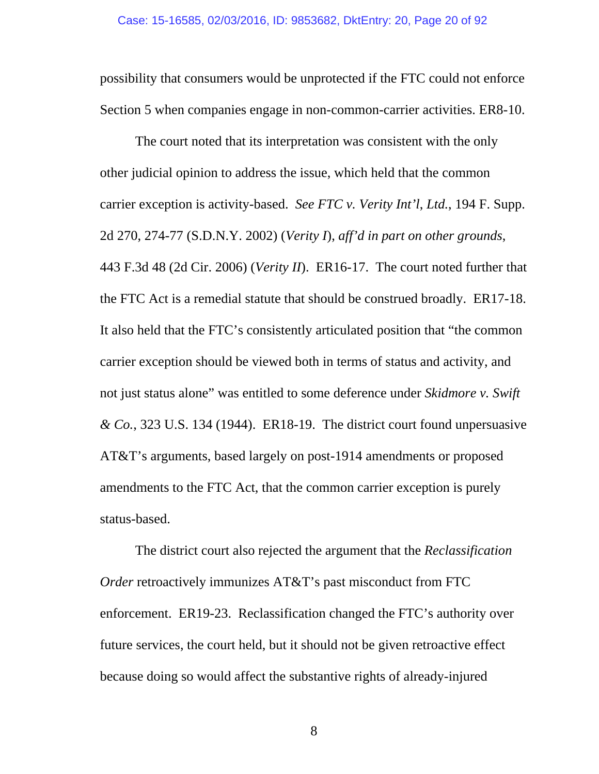possibility that consumers would be unprotected if the FTC could not enforce Section 5 when companies engage in non-common-carrier activities. ER8-10.

The court noted that its interpretation was consistent with the only other judicial opinion to address the issue, which held that the common carrier exception is activity-based. *See FTC v. Verity Int'l*, *Ltd.*, 194 F. Supp. 2d 270, 274-77 (S.D.N.Y. 2002) (*Verity I*), *aff'd in part on other grounds*, 443 F.3d 48 (2d Cir. 2006) (*Verity II*). ER16-17. The court noted further that the FTC Act is a remedial statute that should be construed broadly. ER17-18. It also held that the FTC's consistently articulated position that "the common carrier exception should be viewed both in terms of status and activity, and not just status alone" was entitled to some deference under *Skidmore v. Swift & Co.*, 323 U.S. 134 (1944). ER18-19. The district court found unpersuasive AT&T's arguments, based largely on post-1914 amendments or proposed amendments to the FTC Act, that the common carrier exception is purely status-based.

The district court also rejected the argument that the *Reclassification Order* retroactively immunizes AT&T's past misconduct from FTC enforcement. ER19-23. Reclassification changed the FTC's authority over future services, the court held, but it should not be given retroactive effect because doing so would affect the substantive rights of already-injured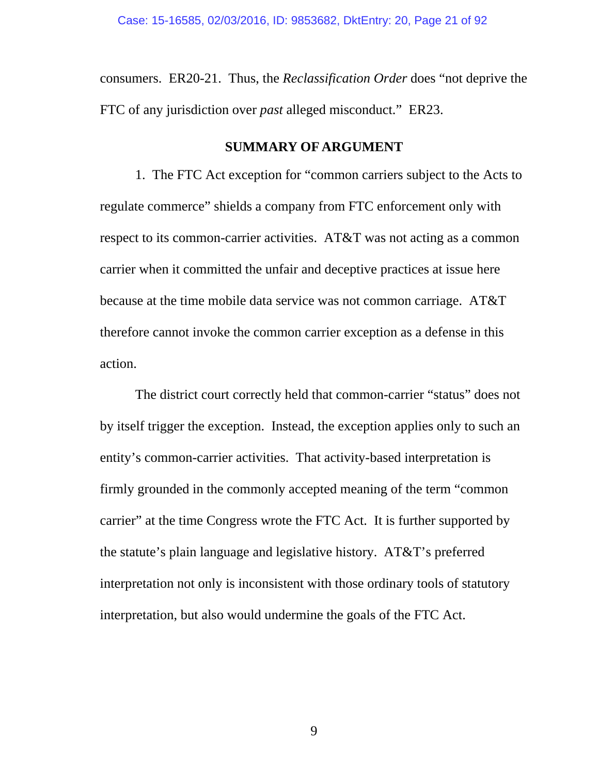consumers. ER20-21. Thus, the *Reclassification Order* does "not deprive the FTC of any jurisdiction over *past* alleged misconduct." ER23.

## **SUMMARY OF ARGUMENT**

1. The FTC Act exception for "common carriers subject to the Acts to regulate commerce" shields a company from FTC enforcement only with respect to its common-carrier activities. AT&T was not acting as a common carrier when it committed the unfair and deceptive practices at issue here because at the time mobile data service was not common carriage. AT&T therefore cannot invoke the common carrier exception as a defense in this action.

The district court correctly held that common-carrier "status" does not by itself trigger the exception. Instead, the exception applies only to such an entity's common-carrier activities. That activity-based interpretation is firmly grounded in the commonly accepted meaning of the term "common carrier" at the time Congress wrote the FTC Act. It is further supported by the statute's plain language and legislative history. AT&T's preferred interpretation not only is inconsistent with those ordinary tools of statutory interpretation, but also would undermine the goals of the FTC Act.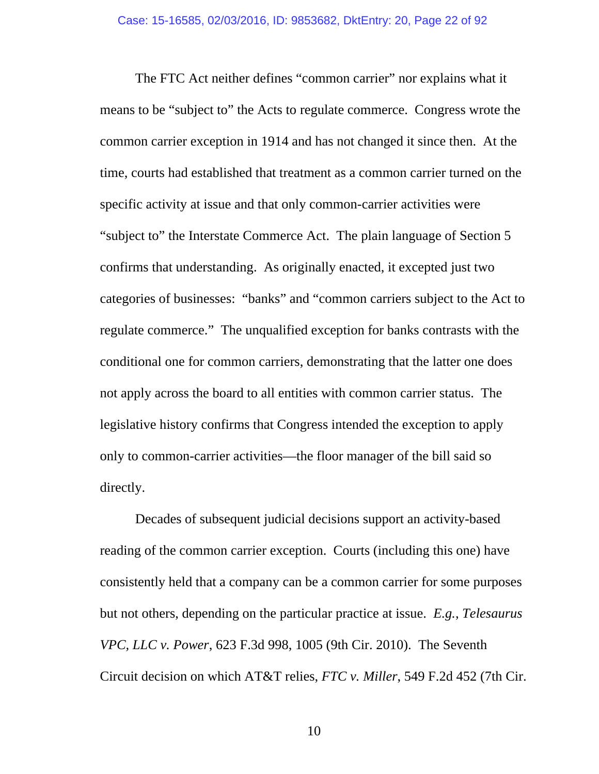The FTC Act neither defines "common carrier" nor explains what it means to be "subject to" the Acts to regulate commerce. Congress wrote the common carrier exception in 1914 and has not changed it since then. At the time, courts had established that treatment as a common carrier turned on the specific activity at issue and that only common-carrier activities were "subject to" the Interstate Commerce Act. The plain language of Section 5 confirms that understanding. As originally enacted, it excepted just two categories of businesses: "banks" and "common carriers subject to the Act to regulate commerce." The unqualified exception for banks contrasts with the conditional one for common carriers, demonstrating that the latter one does not apply across the board to all entities with common carrier status. The legislative history confirms that Congress intended the exception to apply only to common-carrier activities—the floor manager of the bill said so directly.

Decades of subsequent judicial decisions support an activity-based reading of the common carrier exception. Courts (including this one) have consistently held that a company can be a common carrier for some purposes but not others, depending on the particular practice at issue. *E.g.*, *Telesaurus VPC, LLC v. Power*, 623 F.3d 998, 1005 (9th Cir. 2010). The Seventh Circuit decision on which AT&T relies, *FTC v. Miller*, 549 F.2d 452 (7th Cir.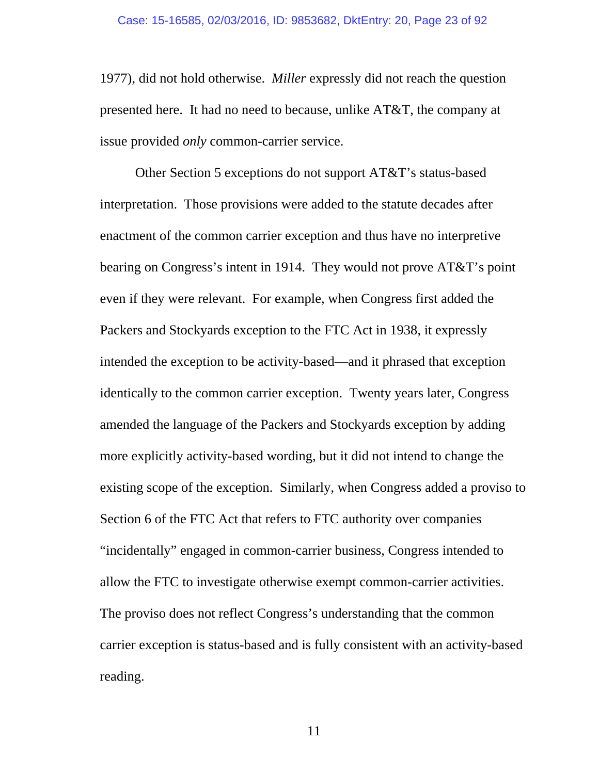1977), did not hold otherwise. *Miller* expressly did not reach the question presented here. It had no need to because, unlike AT&T, the company at issue provided *only* common-carrier service.

Other Section 5 exceptions do not support AT&T's status-based interpretation. Those provisions were added to the statute decades after enactment of the common carrier exception and thus have no interpretive bearing on Congress's intent in 1914. They would not prove AT&T's point even if they were relevant. For example, when Congress first added the Packers and Stockyards exception to the FTC Act in 1938, it expressly intended the exception to be activity-based—and it phrased that exception identically to the common carrier exception. Twenty years later, Congress amended the language of the Packers and Stockyards exception by adding more explicitly activity-based wording, but it did not intend to change the existing scope of the exception. Similarly, when Congress added a proviso to Section 6 of the FTC Act that refers to FTC authority over companies "incidentally" engaged in common-carrier business, Congress intended to allow the FTC to investigate otherwise exempt common-carrier activities. The proviso does not reflect Congress's understanding that the common carrier exception is status-based and is fully consistent with an activity-based reading.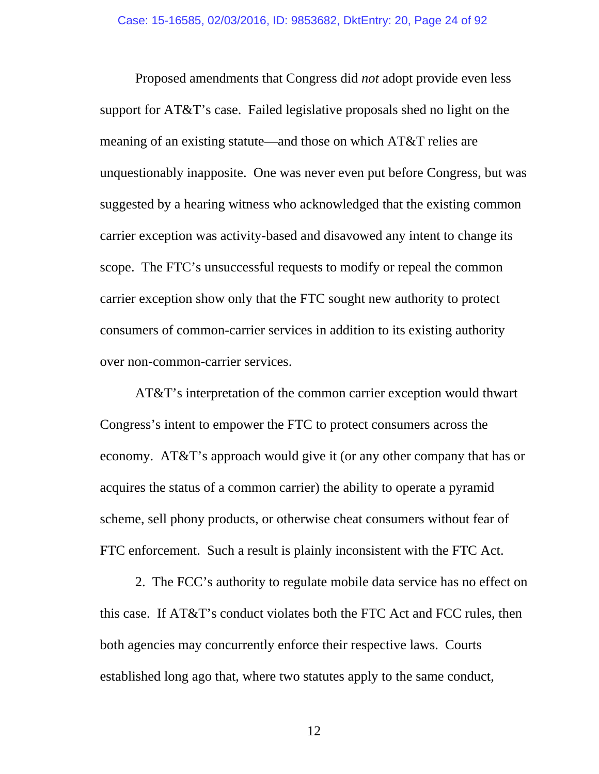Proposed amendments that Congress did *not* adopt provide even less support for AT&T's case. Failed legislative proposals shed no light on the meaning of an existing statute—and those on which AT&T relies are unquestionably inapposite. One was never even put before Congress, but was suggested by a hearing witness who acknowledged that the existing common carrier exception was activity-based and disavowed any intent to change its scope. The FTC's unsuccessful requests to modify or repeal the common carrier exception show only that the FTC sought new authority to protect consumers of common-carrier services in addition to its existing authority over non-common-carrier services.

AT&T's interpretation of the common carrier exception would thwart Congress's intent to empower the FTC to protect consumers across the economy. AT&T's approach would give it (or any other company that has or acquires the status of a common carrier) the ability to operate a pyramid scheme, sell phony products, or otherwise cheat consumers without fear of FTC enforcement. Such a result is plainly inconsistent with the FTC Act.

2. The FCC's authority to regulate mobile data service has no effect on this case. If AT&T's conduct violates both the FTC Act and FCC rules, then both agencies may concurrently enforce their respective laws. Courts established long ago that, where two statutes apply to the same conduct,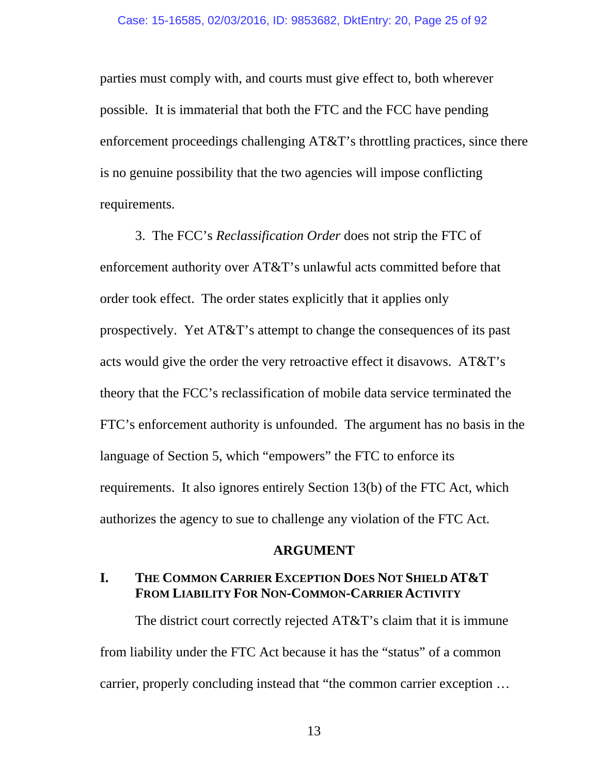parties must comply with, and courts must give effect to, both wherever possible. It is immaterial that both the FTC and the FCC have pending enforcement proceedings challenging AT&T's throttling practices, since there is no genuine possibility that the two agencies will impose conflicting requirements.

3. The FCC's *Reclassification Order* does not strip the FTC of enforcement authority over AT&T's unlawful acts committed before that order took effect. The order states explicitly that it applies only prospectively. Yet AT&T's attempt to change the consequences of its past acts would give the order the very retroactive effect it disavows. AT&T's theory that the FCC's reclassification of mobile data service terminated the FTC's enforcement authority is unfounded. The argument has no basis in the language of Section 5, which "empowers" the FTC to enforce its requirements. It also ignores entirely Section 13(b) of the FTC Act, which authorizes the agency to sue to challenge any violation of the FTC Act.

### **ARGUMENT**

## **I. THE COMMON CARRIER EXCEPTION DOES NOT SHIELD AT&T FROM LIABILITY FOR NON-COMMON-CARRIER ACTIVITY**

The district court correctly rejected AT&T's claim that it is immune from liability under the FTC Act because it has the "status" of a common carrier, properly concluding instead that "the common carrier exception …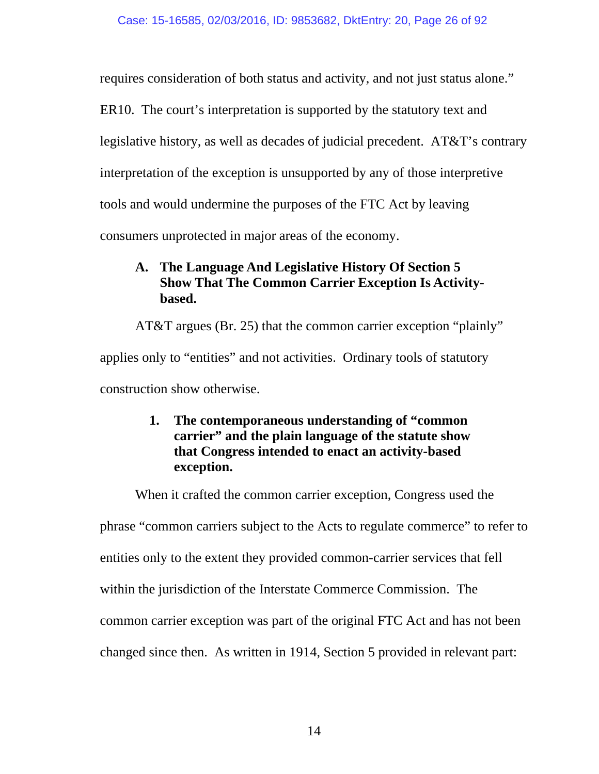requires consideration of both status and activity, and not just status alone."

ER10. The court's interpretation is supported by the statutory text and

legislative history, as well as decades of judicial precedent. AT&T's contrary

interpretation of the exception is unsupported by any of those interpretive

tools and would undermine the purposes of the FTC Act by leaving

consumers unprotected in major areas of the economy.

## **A. The Language And Legislative History Of Section 5 Show That The Common Carrier Exception Is Activitybased.**

AT&T argues (Br. 25) that the common carrier exception "plainly"

applies only to "entities" and not activities. Ordinary tools of statutory

construction show otherwise.

# **1. The contemporaneous understanding of "common carrier" and the plain language of the statute show that Congress intended to enact an activity-based exception.**

When it crafted the common carrier exception, Congress used the

phrase "common carriers subject to the Acts to regulate commerce" to refer to

entities only to the extent they provided common-carrier services that fell

within the jurisdiction of the Interstate Commerce Commission. The

common carrier exception was part of the original FTC Act and has not been

changed since then. As written in 1914, Section 5 provided in relevant part: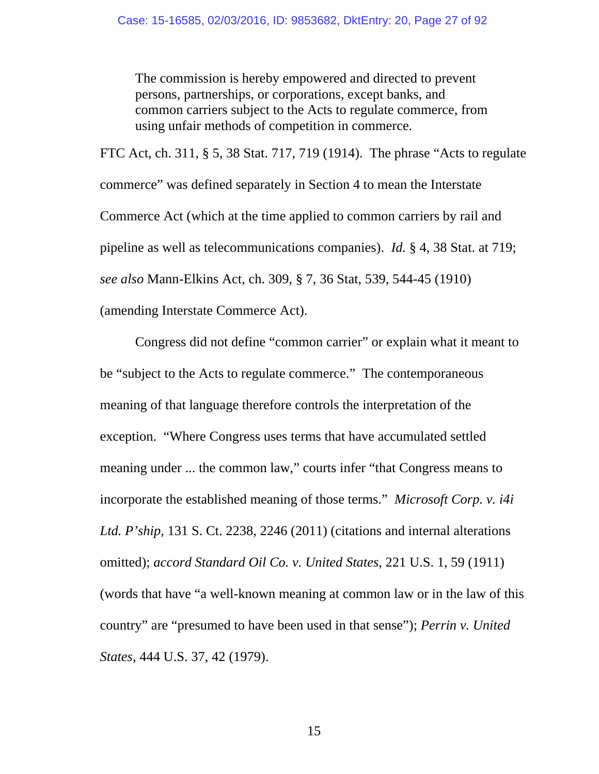The commission is hereby empowered and directed to prevent persons, partnerships, or corporations, except banks, and common carriers subject to the Acts to regulate commerce, from using unfair methods of competition in commerce*.* 

FTC Act, ch. 311, § 5, 38 Stat. 717, 719 (1914). The phrase "Acts to regulate commerce" was defined separately in Section 4 to mean the Interstate Commerce Act (which at the time applied to common carriers by rail and pipeline as well as telecommunications companies). *Id.* § 4, 38 Stat. at 719; *see also* Mann-Elkins Act, ch. 309, § 7, 36 Stat, 539, 544-45 (1910) (amending Interstate Commerce Act).

Congress did not define "common carrier" or explain what it meant to be "subject to the Acts to regulate commerce." The contemporaneous meaning of that language therefore controls the interpretation of the exception. "Where Congress uses terms that have accumulated settled meaning under ... the common law," courts infer "that Congress means to incorporate the established meaning of those terms." *Microsoft Corp. v. i4i Ltd. P'ship*, 131 S. Ct. 2238, 2246 (2011) (citations and internal alterations omitted); *accord Standard Oil Co. v. United States*, 221 U.S. 1, 59 (1911) (words that have "a well-known meaning at common law or in the law of this country" are "presumed to have been used in that sense"); *Perrin v. United States*, 444 U.S. 37, 42 (1979).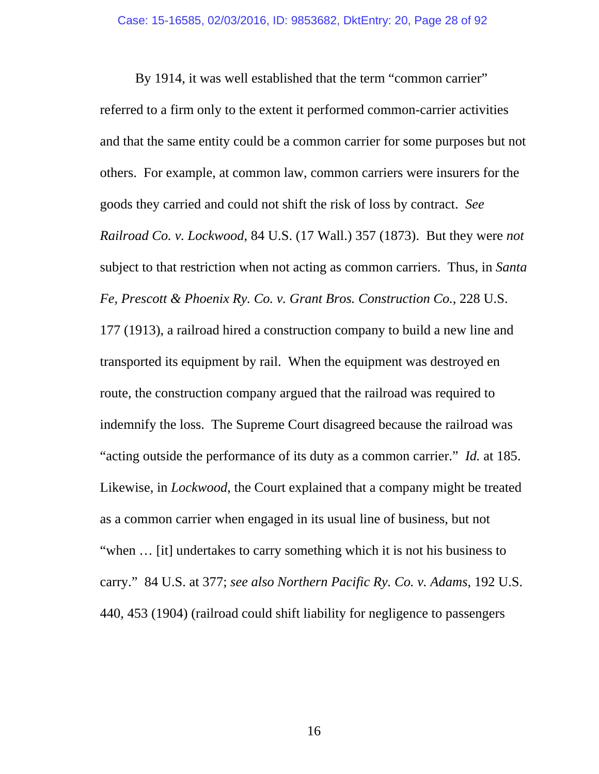By 1914, it was well established that the term "common carrier" referred to a firm only to the extent it performed common-carrier activities and that the same entity could be a common carrier for some purposes but not others. For example, at common law, common carriers were insurers for the goods they carried and could not shift the risk of loss by contract. *See Railroad Co. v. Lockwood*, 84 U.S. (17 Wall.) 357 (1873). But they were *not* subject to that restriction when not acting as common carriers. Thus, in *Santa Fe, Prescott & Phoenix Ry. Co. v. Grant Bros. Construction Co.*, 228 U.S. 177 (1913), a railroad hired a construction company to build a new line and transported its equipment by rail. When the equipment was destroyed en route, the construction company argued that the railroad was required to indemnify the loss. The Supreme Court disagreed because the railroad was "acting outside the performance of its duty as a common carrier." *Id.* at 185. Likewise, in *Lockwood*, the Court explained that a company might be treated as a common carrier when engaged in its usual line of business, but not "when … [it] undertakes to carry something which it is not his business to carry." 84 U.S. at 377; *see also Northern Pacific Ry. Co. v. Adams*, 192 U.S. 440, 453 (1904) (railroad could shift liability for negligence to passengers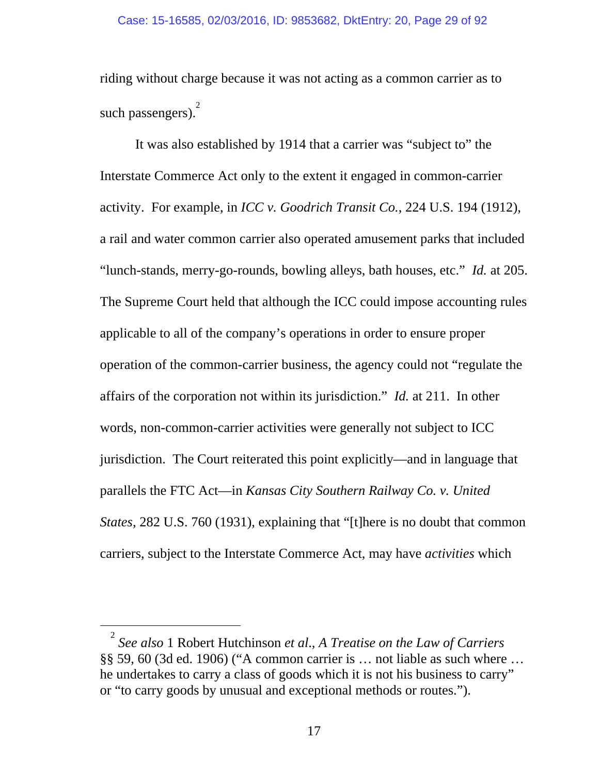riding without charge because it was not acting as a common carrier as to such passengers).<sup>2</sup>

It was also established by 1914 that a carrier was "subject to" the Interstate Commerce Act only to the extent it engaged in common-carrier activity. For example, in *ICC v. Goodrich Transit Co.*, 224 U.S. 194 (1912), a rail and water common carrier also operated amusement parks that included "lunch-stands, merry-go-rounds, bowling alleys, bath houses, etc." *Id.* at 205. The Supreme Court held that although the ICC could impose accounting rules applicable to all of the company's operations in order to ensure proper operation of the common-carrier business, the agency could not "regulate the affairs of the corporation not within its jurisdiction." *Id.* at 211.In other words, non-common-carrier activities were generally not subject to ICC jurisdiction. The Court reiterated this point explicitly—and in language that parallels the FTC Act—in *Kansas City Southern Railway Co. v. United States*, 282 U.S. 760 (1931), explaining that "[t]here is no doubt that common carriers, subject to the Interstate Commerce Act, may have *activities* which

 $\frac{1}{2}$ *See also* 1 Robert Hutchinson *et al*., *A Treatise on the Law of Carriers*  §§ 59, 60 (3d ed. 1906) ("A common carrier is … not liable as such where … he undertakes to carry a class of goods which it is not his business to carry" or "to carry goods by unusual and exceptional methods or routes.").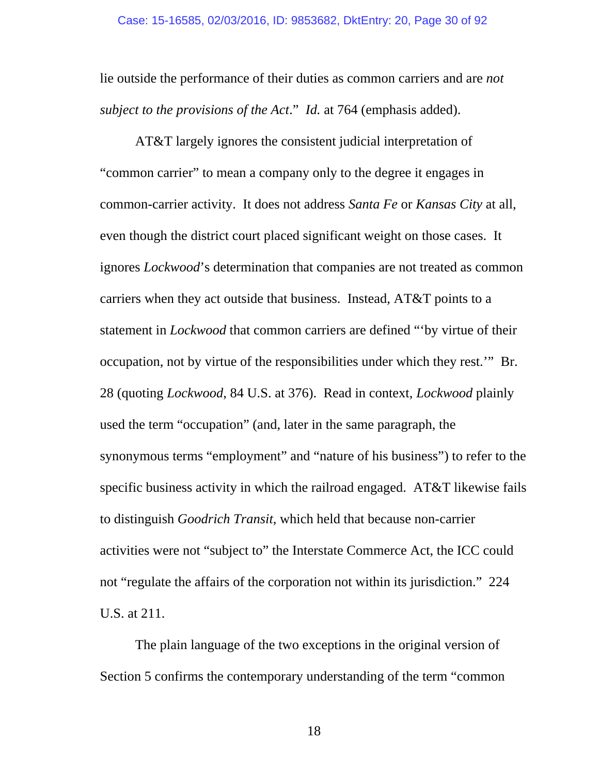lie outside the performance of their duties as common carriers and are *not subject to the provisions of the Act*." *Id.* at 764 (emphasis added).

AT&T largely ignores the consistent judicial interpretation of "common carrier" to mean a company only to the degree it engages in common-carrier activity. It does not address *Santa Fe* or *Kansas City* at all, even though the district court placed significant weight on those cases. It ignores *Lockwood*'s determination that companies are not treated as common carriers when they act outside that business. Instead, AT&T points to a statement in *Lockwood* that common carriers are defined "'by virtue of their occupation, not by virtue of the responsibilities under which they rest.'" Br. 28 (quoting *Lockwood*, 84 U.S. at 376). Read in context, *Lockwood* plainly used the term "occupation" (and, later in the same paragraph, the synonymous terms "employment" and "nature of his business") to refer to the specific business activity in which the railroad engaged. AT&T likewise fails to distinguish *Goodrich Transit*, which held that because non-carrier activities were not "subject to" the Interstate Commerce Act, the ICC could not "regulate the affairs of the corporation not within its jurisdiction." 224 U.S. at 211.

The plain language of the two exceptions in the original version of Section 5 confirms the contemporary understanding of the term "common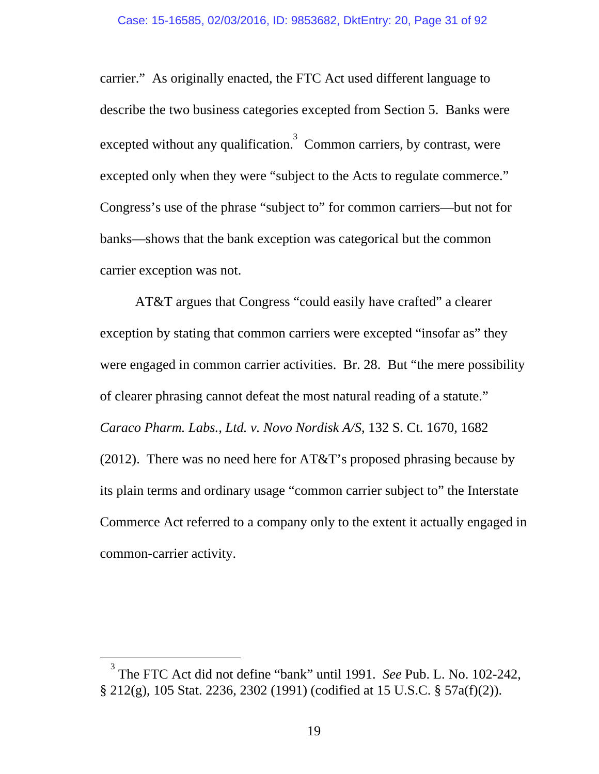carrier." As originally enacted, the FTC Act used different language to describe the two business categories excepted from Section 5. Banks were excepted without any qualification.<sup>3</sup> Common carriers, by contrast, were excepted only when they were "subject to the Acts to regulate commerce." Congress's use of the phrase "subject to" for common carriers—but not for banks—shows that the bank exception was categorical but the common carrier exception was not.

AT&T argues that Congress "could easily have crafted" a clearer exception by stating that common carriers were excepted "insofar as" they were engaged in common carrier activities. Br. 28. But "the mere possibility of clearer phrasing cannot defeat the most natural reading of a statute." *Caraco Pharm. Labs., Ltd. v. Novo Nordisk A/S*, 132 S. Ct. 1670, 1682 (2012). There was no need here for  $AT&T$ 's proposed phrasing because by its plain terms and ordinary usage "common carrier subject to" the Interstate Commerce Act referred to a company only to the extent it actually engaged in common-carrier activity.

 $\frac{1}{3}$  The FTC Act did not define "bank" until 1991. *See* Pub. L. No. 102-242, § 212(g), 105 Stat. 2236, 2302 (1991) (codified at 15 U.S.C. § 57a(f)(2)).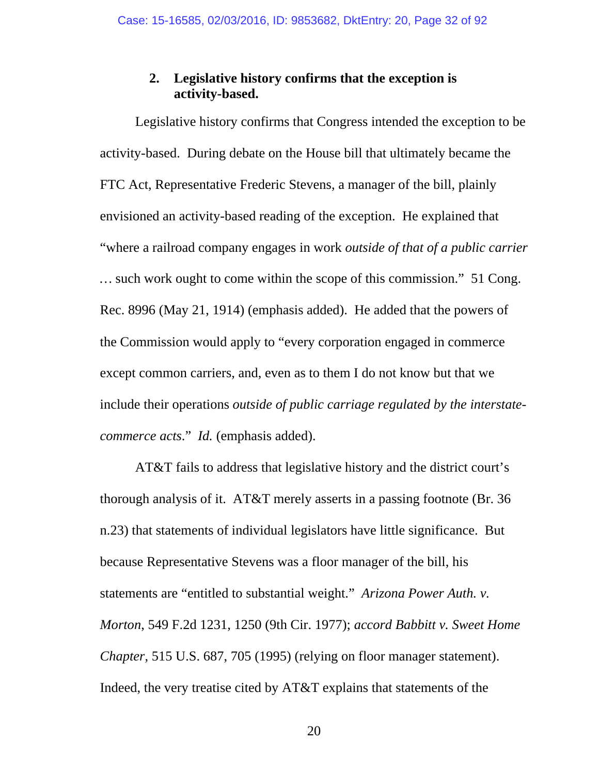## **2. Legislative history confirms that the exception is activity-based.**

Legislative history confirms that Congress intended the exception to be activity-based. During debate on the House bill that ultimately became the FTC Act, Representative Frederic Stevens, a manager of the bill, plainly envisioned an activity-based reading of the exception. He explained that "where a railroad company engages in work *outside of that of a public carrier …* such work ought to come within the scope of this commission." 51 Cong. Rec. 8996 (May 21, 1914) (emphasis added). He added that the powers of the Commission would apply to "every corporation engaged in commerce except common carriers, and, even as to them I do not know but that we include their operations *outside of public carriage regulated by the interstatecommerce acts*." *Id.* (emphasis added).

AT&T fails to address that legislative history and the district court's thorough analysis of it. AT&T merely asserts in a passing footnote (Br. 36 n.23) that statements of individual legislators have little significance. But because Representative Stevens was a floor manager of the bill, his statements are "entitled to substantial weight." *Arizona Power Auth. v. Morton*, 549 F.2d 1231, 1250 (9th Cir. 1977); *accord Babbitt v. Sweet Home Chapter*, 515 U.S. 687, 705 (1995) (relying on floor manager statement). Indeed, the very treatise cited by AT&T explains that statements of the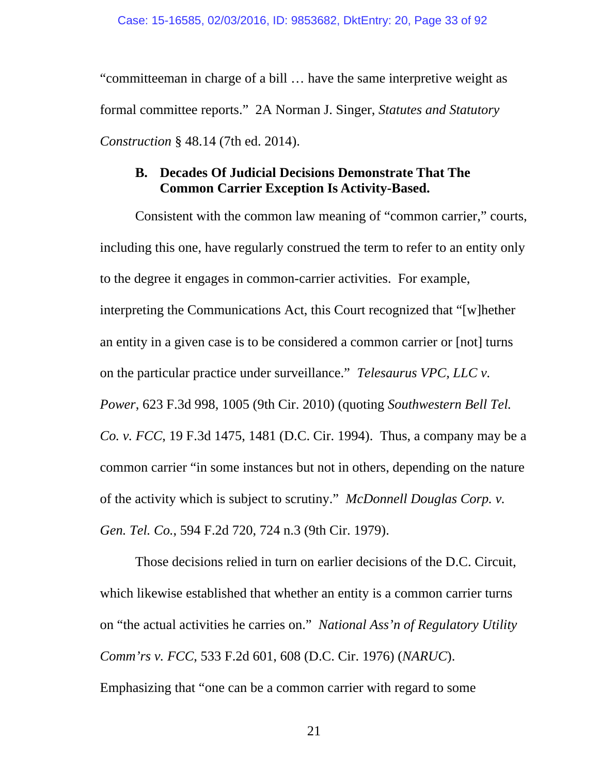"committeeman in charge of a bill … have the same interpretive weight as formal committee reports." 2A Norman J. Singer, *Statutes and Statutory Construction* § 48.14 (7th ed. 2014).

## **B. Decades Of Judicial Decisions Demonstrate That The Common Carrier Exception Is Activity-Based.**

Consistent with the common law meaning of "common carrier," courts, including this one, have regularly construed the term to refer to an entity only to the degree it engages in common-carrier activities. For example, interpreting the Communications Act, this Court recognized that "[w]hether an entity in a given case is to be considered a common carrier or [not] turns on the particular practice under surveillance." *Telesaurus VPC, LLC v. Power*, 623 F.3d 998, 1005 (9th Cir. 2010) (quoting *Southwestern Bell Tel. Co. v. FCC*, 19 F.3d 1475, 1481 (D.C. Cir. 1994). Thus, a company may be a common carrier "in some instances but not in others, depending on the nature of the activity which is subject to scrutiny." *McDonnell Douglas Corp. v. Gen. Tel. Co.*, 594 F.2d 720, 724 n.3 (9th Cir. 1979).

Those decisions relied in turn on earlier decisions of the D.C. Circuit, which likewise established that whether an entity is a common carrier turns on "the actual activities he carries on." *National Ass'n of Regulatory Utility Comm'rs v. FCC*, 533 F.2d 601, 608 (D.C. Cir. 1976) (*NARUC*). Emphasizing that "one can be a common carrier with regard to some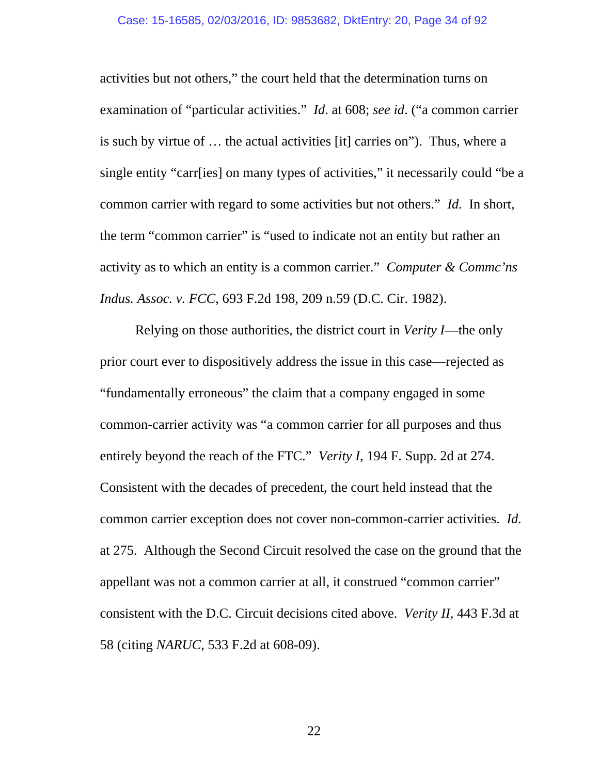activities but not others," the court held that the determination turns on examination of "particular activities." *Id*. at 608; *see id*. ("a common carrier is such by virtue of … the actual activities [it] carries on"). Thus, where a single entity "carr[ies] on many types of activities," it necessarily could "be a common carrier with regard to some activities but not others." *Id.* In short, the term "common carrier" is "used to indicate not an entity but rather an activity as to which an entity is a common carrier." *Computer & Commc'ns Indus. Assoc. v. FCC*, 693 F.2d 198, 209 n.59 (D.C. Cir. 1982).

Relying on those authorities, the district court in *Verity I*—the only prior court ever to dispositively address the issue in this case—rejected as "fundamentally erroneous" the claim that a company engaged in some common-carrier activity was "a common carrier for all purposes and thus entirely beyond the reach of the FTC." *Verity I*, 194 F. Supp. 2d at 274. Consistent with the decades of precedent, the court held instead that the common carrier exception does not cover non-common-carrier activities. *Id.* at 275. Although the Second Circuit resolved the case on the ground that the appellant was not a common carrier at all, it construed "common carrier" consistent with the D.C. Circuit decisions cited above. *Verity II*, 443 F.3d at 58 (citing *NARUC*, 533 F.2d at 608-09).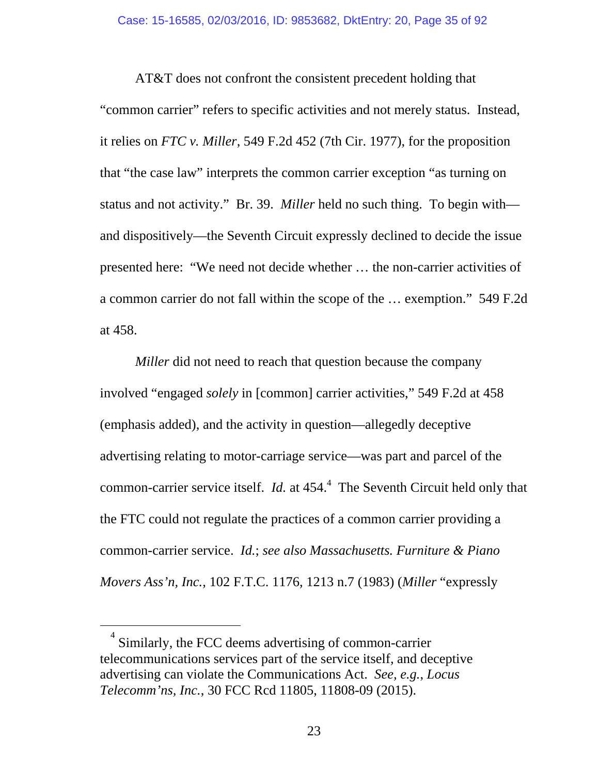AT&T does not confront the consistent precedent holding that "common carrier" refers to specific activities and not merely status. Instead, it relies on *FTC v. Miller*, 549 F.2d 452 (7th Cir. 1977), for the proposition that "the case law" interprets the common carrier exception "as turning on status and not activity." Br. 39. *Miller* held no such thing. To begin with and dispositively—the Seventh Circuit expressly declined to decide the issue presented here: "We need not decide whether … the non-carrier activities of a common carrier do not fall within the scope of the … exemption." 549 F.2d at 458.

*Miller* did not need to reach that question because the company involved "engaged *solely* in [common] carrier activities," 549 F.2d at 458 (emphasis added), and the activity in question—allegedly deceptive advertising relating to motor-carriage service—was part and parcel of the common-carrier service itself. *Id.* at  $454<sup>4</sup>$ . The Seventh Circuit held only that the FTC could not regulate the practices of a common carrier providing a common-carrier service. *Id.*; *see also Massachusetts. Furniture & Piano Movers Ass'n, Inc.*, 102 F.T.C. 1176, 1213 n.7 (1983) (*Miller* "expressly

 $\frac{1}{4}$  Similarly, the FCC deems advertising of common-carrier telecommunications services part of the service itself, and deceptive advertising can violate the Communications Act. *See, e.g.*, *Locus Telecomm'ns, Inc.*, 30 FCC Rcd 11805, 11808-09 (2015).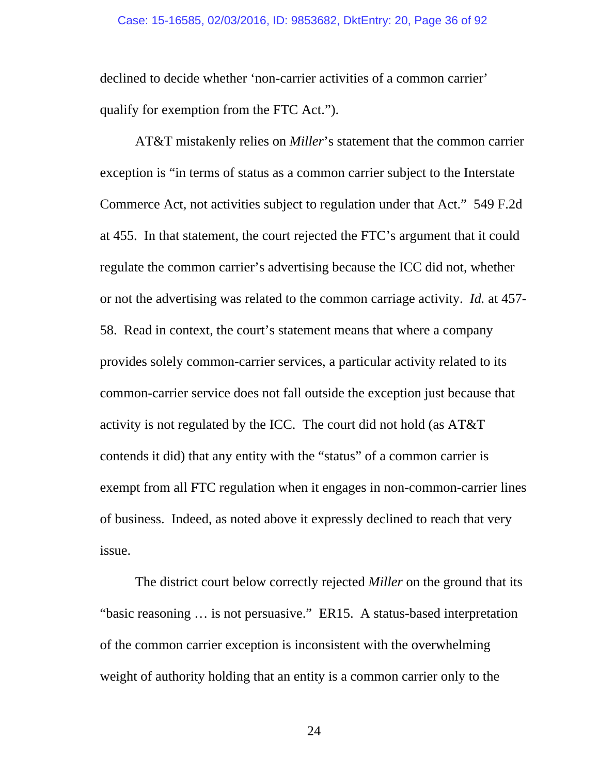declined to decide whether 'non-carrier activities of a common carrier' qualify for exemption from the FTC Act.").

AT&T mistakenly relies on *Miller*'s statement that the common carrier exception is "in terms of status as a common carrier subject to the Interstate Commerce Act, not activities subject to regulation under that Act." 549 F.2d at 455. In that statement, the court rejected the FTC's argument that it could regulate the common carrier's advertising because the ICC did not, whether or not the advertising was related to the common carriage activity. *Id.* at 457- 58. Read in context, the court's statement means that where a company provides solely common-carrier services, a particular activity related to its common-carrier service does not fall outside the exception just because that activity is not regulated by the ICC. The court did not hold (as AT&T contends it did) that any entity with the "status" of a common carrier is exempt from all FTC regulation when it engages in non-common-carrier lines of business. Indeed, as noted above it expressly declined to reach that very issue.

The district court below correctly rejected *Miller* on the ground that its "basic reasoning … is not persuasive." ER15. A status-based interpretation of the common carrier exception is inconsistent with the overwhelming weight of authority holding that an entity is a common carrier only to the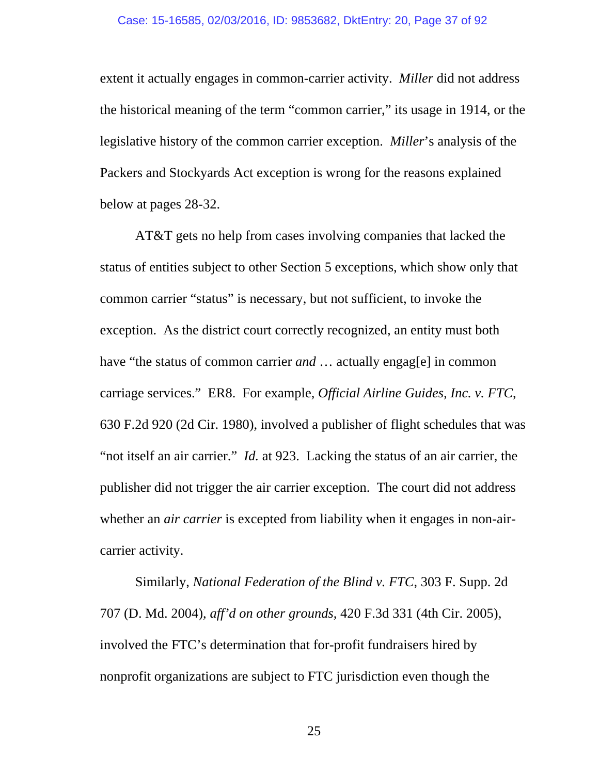extent it actually engages in common-carrier activity. *Miller* did not address the historical meaning of the term "common carrier," its usage in 1914, or the legislative history of the common carrier exception. *Miller*'s analysis of the Packers and Stockyards Act exception is wrong for the reasons explained below at pages 28-32.

AT&T gets no help from cases involving companies that lacked the status of entities subject to other Section 5 exceptions, which show only that common carrier "status" is necessary, but not sufficient, to invoke the exception. As the district court correctly recognized, an entity must both have "the status of common carrier *and* ... actually engag[e] in common carriage services." ER8. For example, *Official Airline Guides, Inc. v. FTC*, 630 F.2d 920 (2d Cir. 1980), involved a publisher of flight schedules that was "not itself an air carrier." *Id.* at 923. Lacking the status of an air carrier, the publisher did not trigger the air carrier exception. The court did not address whether an *air carrier* is excepted from liability when it engages in non-aircarrier activity.

Similarly, *National Federation of the Blind v. FTC*, 303 F. Supp. 2d 707 (D. Md. 2004), *aff'd on other grounds*, 420 F.3d 331 (4th Cir. 2005), involved the FTC's determination that for-profit fundraisers hired by nonprofit organizations are subject to FTC jurisdiction even though the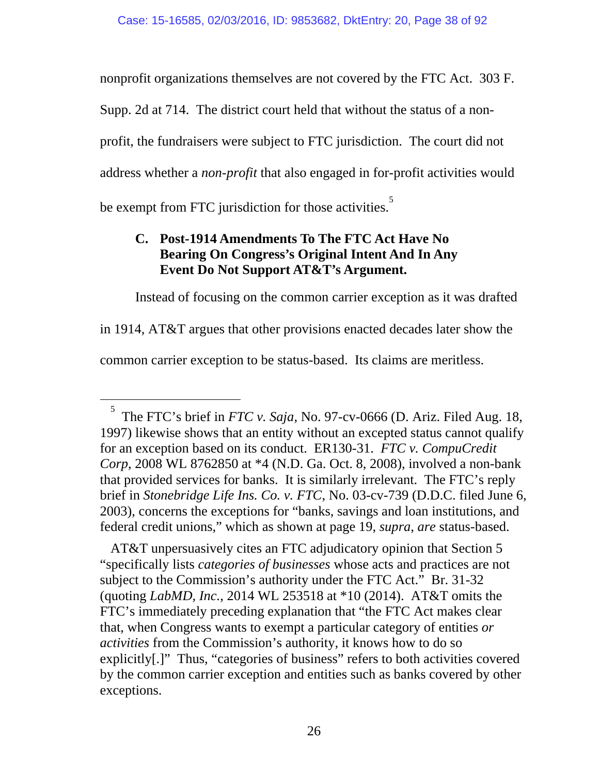nonprofit organizations themselves are not covered by the FTC Act. 303 F.

Supp. 2d at 714. The district court held that without the status of a non-

profit, the fundraisers were subject to FTC jurisdiction. The court did not

address whether a *non-profit* that also engaged in for-profit activities would

be exempt from FTC jurisdiction for those activities.<sup>5</sup>

# **C. Post-1914 Amendments To The FTC Act Have No Bearing On Congress's Original Intent And In Any Event Do Not Support AT&T's Argument.**

Instead of focusing on the common carrier exception as it was drafted

in 1914, AT&T argues that other provisions enacted decades later show the

common carrier exception to be status-based. Its claims are meritless.

AT&T unpersuasively cites an FTC adjudicatory opinion that Section 5 "specifically lists *categories of businesses* whose acts and practices are not subject to the Commission's authority under the FTC Act." Br. 31-32 (quoting *LabMD, Inc.*, 2014 WL 253518 at \*10 (2014). AT&T omits the FTC's immediately preceding explanation that "the FTC Act makes clear that, when Congress wants to exempt a particular category of entities *or activities* from the Commission's authority, it knows how to do so explicitly[.]" Thus, "categories of business" refers to both activities covered by the common carrier exception and entities such as banks covered by other exceptions.

 $\frac{1}{5}$  The FTC's brief in *FTC v. Saja*, No. 97-cv-0666 (D. Ariz. Filed Aug. 18, 1997) likewise shows that an entity without an excepted status cannot qualify for an exception based on its conduct. ER130-31. *FTC v. CompuCredit Corp*, 2008 WL 8762850 at \*4 (N.D. Ga. Oct. 8, 2008), involved a non-bank that provided services for banks. It is similarly irrelevant. The FTC's reply brief in *Stonebridge Life Ins. Co. v. FTC*, No. 03-cv-739 (D.D.C. filed June 6, 2003), concerns the exceptions for "banks, savings and loan institutions, and federal credit unions," which as shown at page 19, *supra*, *are* status-based.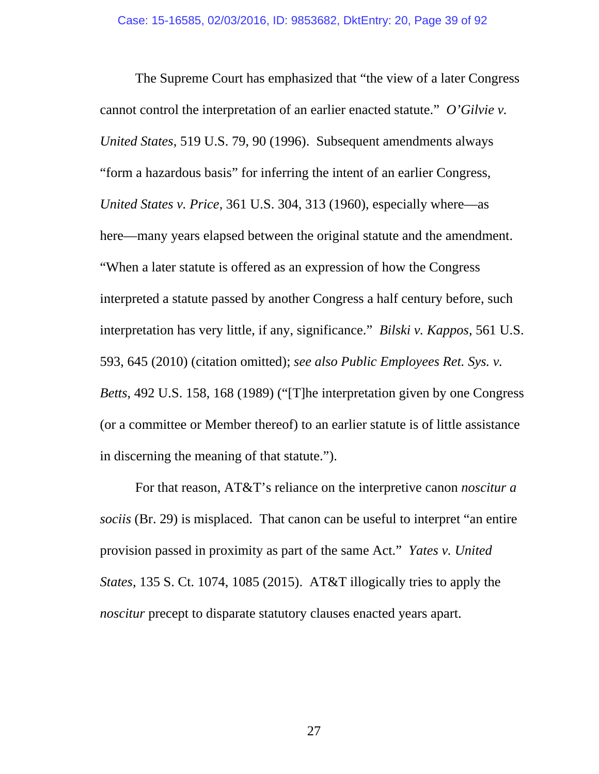The Supreme Court has emphasized that "the view of a later Congress cannot control the interpretation of an earlier enacted statute." *O'Gilvie v. United States*, 519 U.S. 79, 90 (1996). Subsequent amendments always "form a hazardous basis" for inferring the intent of an earlier Congress, *United States v. Price*, 361 U.S. 304, 313 (1960), especially where—as here—many years elapsed between the original statute and the amendment. "When a later statute is offered as an expression of how the Congress interpreted a statute passed by another Congress a half century before, such interpretation has very little, if any, significance." *Bilski v. Kappos*, 561 U.S. 593, 645 (2010) (citation omitted); *see also Public Employees Ret. Sys. v. Betts*, 492 U.S. 158, 168 (1989) ("[T]he interpretation given by one Congress (or a committee or Member thereof) to an earlier statute is of little assistance in discerning the meaning of that statute.").

For that reason, AT&T's reliance on the interpretive canon *noscitur a sociis* (Br. 29) is misplaced. That canon can be useful to interpret "an entire provision passed in proximity as part of the same Act." *Yates v. United States*, 135 S. Ct. 1074, 1085 (2015). AT&T illogically tries to apply the *noscitur* precept to disparate statutory clauses enacted years apart.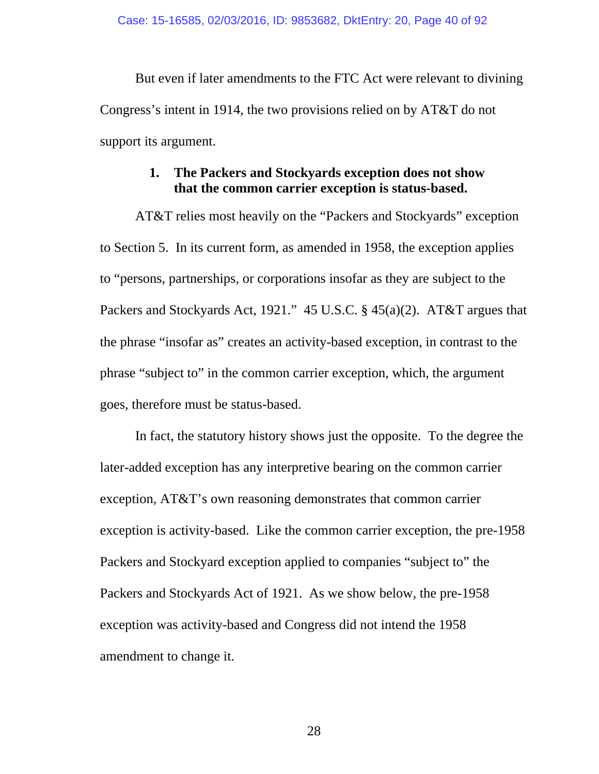But even if later amendments to the FTC Act were relevant to divining Congress's intent in 1914, the two provisions relied on by AT&T do not support its argument.

#### **1. The Packers and Stockyards exception does not show that the common carrier exception is status-based.**

AT&T relies most heavily on the "Packers and Stockyards" exception to Section 5. In its current form, as amended in 1958, the exception applies to "persons, partnerships, or corporations insofar as they are subject to the Packers and Stockyards Act, 1921." 45 U.S.C. § 45(a)(2). AT&T argues that the phrase "insofar as" creates an activity-based exception, in contrast to the phrase "subject to" in the common carrier exception, which, the argument goes, therefore must be status-based.

In fact, the statutory history shows just the opposite. To the degree the later-added exception has any interpretive bearing on the common carrier exception, AT&T's own reasoning demonstrates that common carrier exception is activity-based. Like the common carrier exception, the pre-1958 Packers and Stockyard exception applied to companies "subject to" the Packers and Stockyards Act of 1921. As we show below, the pre-1958 exception was activity-based and Congress did not intend the 1958 amendment to change it.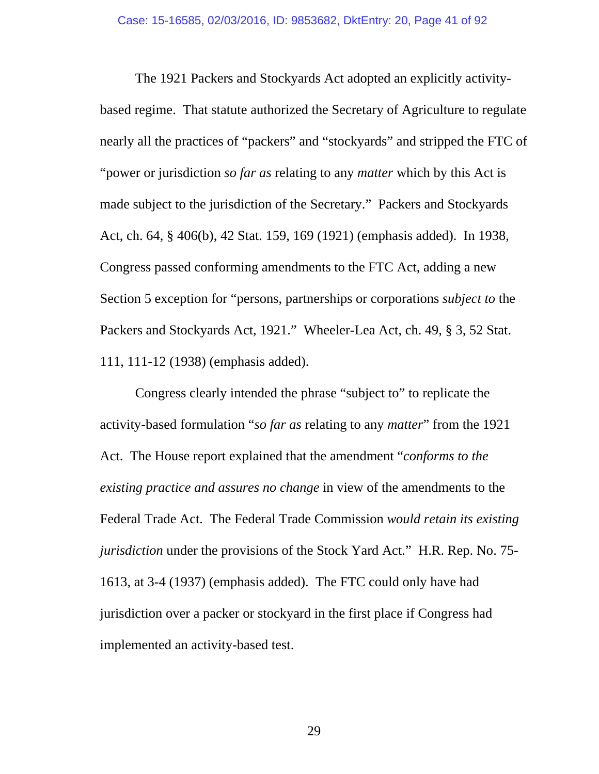The 1921 Packers and Stockyards Act adopted an explicitly activitybased regime. That statute authorized the Secretary of Agriculture to regulate nearly all the practices of "packers" and "stockyards" and stripped the FTC of "power or jurisdiction *so far as* relating to any *matter* which by this Act is made subject to the jurisdiction of the Secretary." Packers and Stockyards Act, ch. 64, § 406(b), 42 Stat. 159, 169 (1921) (emphasis added). In 1938, Congress passed conforming amendments to the FTC Act, adding a new Section 5 exception for "persons, partnerships or corporations *subject to* the Packers and Stockyards Act, 1921." Wheeler-Lea Act, ch. 49, § 3, 52 Stat. 111, 111-12 (1938) (emphasis added).

Congress clearly intended the phrase "subject to" to replicate the activity-based formulation "*so far as* relating to any *matter*" from the 1921 Act. The House report explained that the amendment "*conforms to the existing practice and assures no change* in view of the amendments to the Federal Trade Act. The Federal Trade Commission *would retain its existing jurisdiction* under the provisions of the Stock Yard Act." H.R. Rep. No. 75- 1613, at 3-4 (1937) (emphasis added). The FTC could only have had jurisdiction over a packer or stockyard in the first place if Congress had implemented an activity-based test.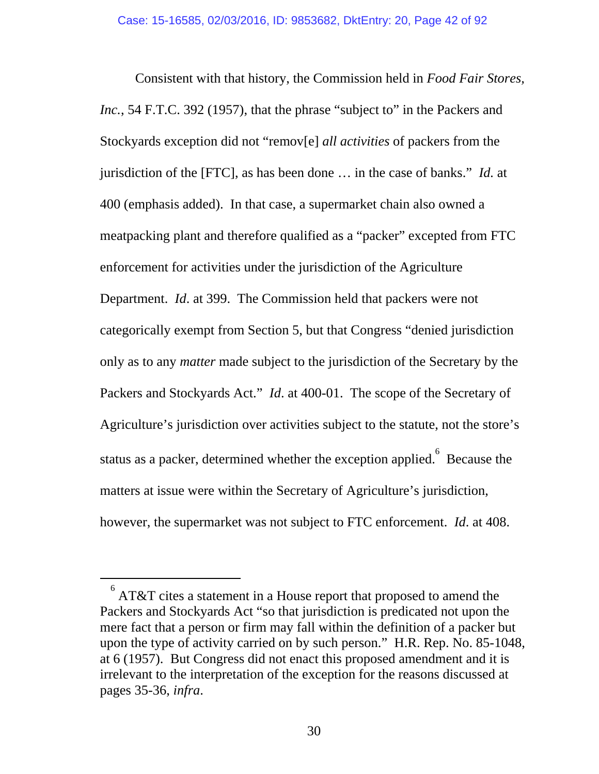Consistent with that history, the Commission held in *Food Fair Stores, Inc.*, 54 F.T.C. 392 (1957), that the phrase "subject to" in the Packers and Stockyards exception did not "remov[e] *all activities* of packers from the jurisdiction of the [FTC], as has been done … in the case of banks." *Id.* at 400 (emphasis added). In that case, a supermarket chain also owned a meatpacking plant and therefore qualified as a "packer" excepted from FTC enforcement for activities under the jurisdiction of the Agriculture Department. *Id*. at 399. The Commission held that packers were not categorically exempt from Section 5, but that Congress "denied jurisdiction only as to any *matter* made subject to the jurisdiction of the Secretary by the Packers and Stockyards Act." *Id*. at 400-01. The scope of the Secretary of Agriculture's jurisdiction over activities subject to the statute, not the store's status as a packer, determined whether the exception applied. Because the matters at issue were within the Secretary of Agriculture's jurisdiction, however, the supermarket was not subject to FTC enforcement. *Id*. at 408.

 $\frac{1}{6}$  AT&T cites a statement in a House report that proposed to amend the Packers and Stockyards Act "so that jurisdiction is predicated not upon the mere fact that a person or firm may fall within the definition of a packer but upon the type of activity carried on by such person." H.R. Rep. No. 85-1048, at 6 (1957). But Congress did not enact this proposed amendment and it is irrelevant to the interpretation of the exception for the reasons discussed at pages 35-36, *infra*.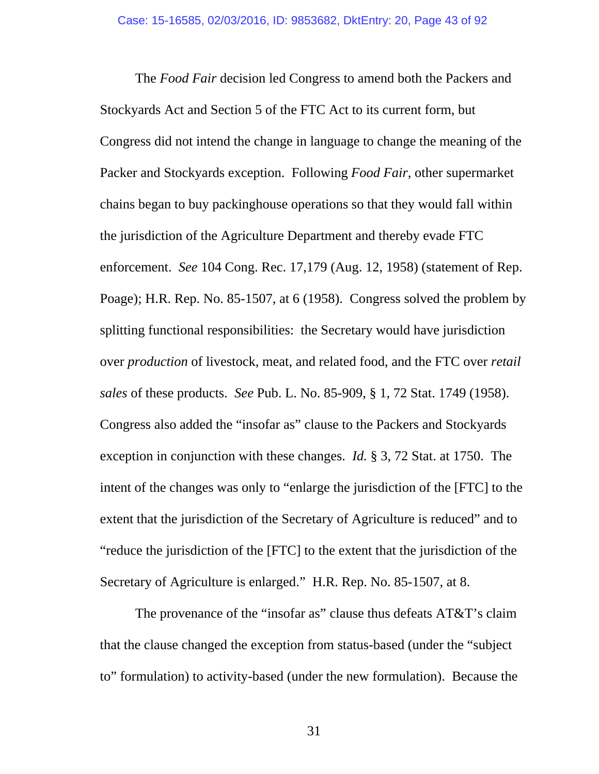The *Food Fair* decision led Congress to amend both the Packers and Stockyards Act and Section 5 of the FTC Act to its current form, but Congress did not intend the change in language to change the meaning of the Packer and Stockyards exception. Following *Food Fair*, other supermarket chains began to buy packinghouse operations so that they would fall within the jurisdiction of the Agriculture Department and thereby evade FTC enforcement. *See* 104 Cong. Rec. 17,179 (Aug. 12, 1958) (statement of Rep. Poage); H.R. Rep. No. 85-1507, at 6 (1958). Congress solved the problem by splitting functional responsibilities: the Secretary would have jurisdiction over *production* of livestock, meat, and related food, and the FTC over *retail sales* of these products. *See* Pub. L. No. 85-909, § 1, 72 Stat. 1749 (1958). Congress also added the "insofar as" clause to the Packers and Stockyards exception in conjunction with these changes. *Id.* § 3, 72 Stat. at 1750. The intent of the changes was only to "enlarge the jurisdiction of the [FTC] to the extent that the jurisdiction of the Secretary of Agriculture is reduced" and to "reduce the jurisdiction of the [FTC] to the extent that the jurisdiction of the Secretary of Agriculture is enlarged." H.R. Rep. No. 85-1507, at 8.

The provenance of the "insofar as" clause thus defeats AT&T's claim that the clause changed the exception from status-based (under the "subject to" formulation) to activity-based (under the new formulation). Because the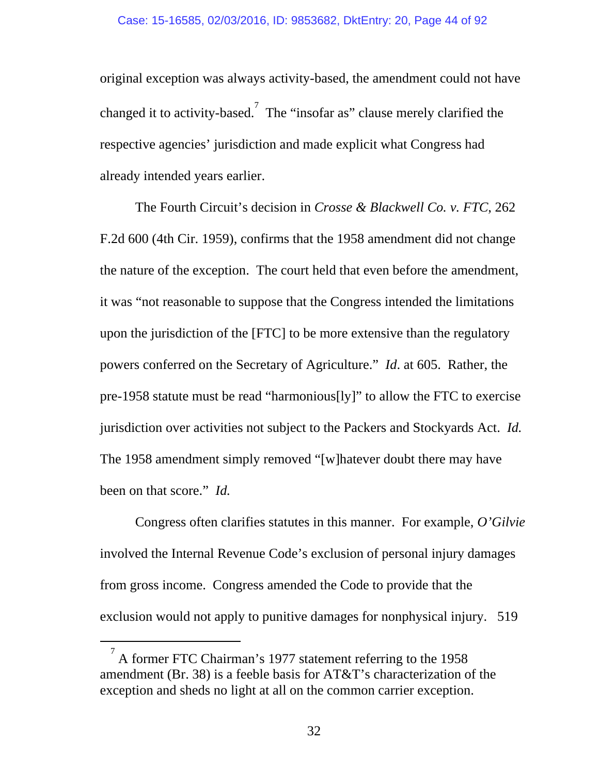original exception was always activity-based, the amendment could not have changed it to activity-based.<sup>7</sup> The "insofar as" clause merely clarified the respective agencies' jurisdiction and made explicit what Congress had already intended years earlier.

The Fourth Circuit's decision in *Crosse & Blackwell Co. v. FTC*, 262 F.2d 600 (4th Cir. 1959), confirms that the 1958 amendment did not change the nature of the exception. The court held that even before the amendment, it was "not reasonable to suppose that the Congress intended the limitations upon the jurisdiction of the [FTC] to be more extensive than the regulatory powers conferred on the Secretary of Agriculture." *Id*. at 605. Rather, the pre-1958 statute must be read "harmonious[ly]" to allow the FTC to exercise jurisdiction over activities not subject to the Packers and Stockyards Act. *Id.*  The 1958 amendment simply removed "[w]hatever doubt there may have been on that score." *Id.*

Congress often clarifies statutes in this manner. For example, *O'Gilvie* involved the Internal Revenue Code's exclusion of personal injury damages from gross income. Congress amended the Code to provide that the exclusion would not apply to punitive damages for nonphysical injury. 519

 $\frac{1}{7}$  A former FTC Chairman's 1977 statement referring to the 1958 amendment (Br. 38) is a feeble basis for AT&T's characterization of the exception and sheds no light at all on the common carrier exception.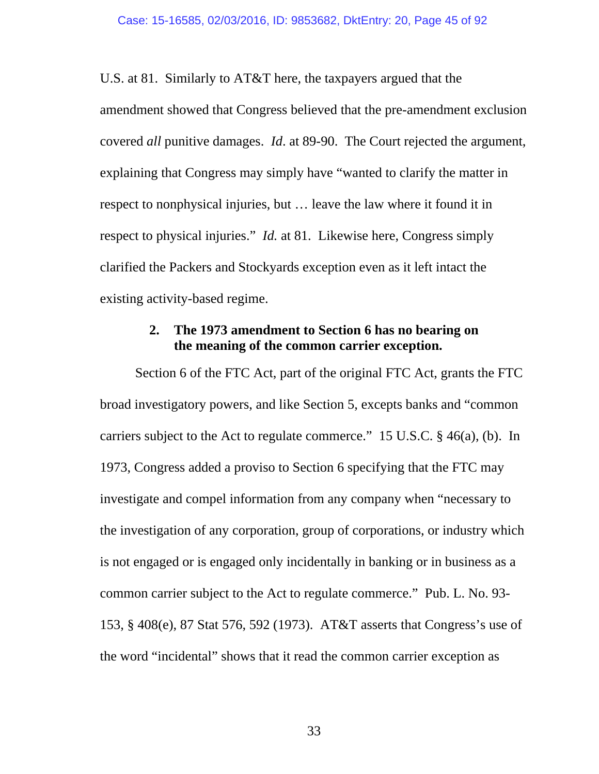U.S. at 81. Similarly to AT&T here, the taxpayers argued that the amendment showed that Congress believed that the pre-amendment exclusion covered *all* punitive damages. *Id*. at 89-90. The Court rejected the argument, explaining that Congress may simply have "wanted to clarify the matter in respect to nonphysical injuries, but … leave the law where it found it in respect to physical injuries." *Id.* at 81. Likewise here, Congress simply clarified the Packers and Stockyards exception even as it left intact the existing activity-based regime.

### **2. The 1973 amendment to Section 6 has no bearing on the meaning of the common carrier exception.**

Section 6 of the FTC Act, part of the original FTC Act, grants the FTC broad investigatory powers, and like Section 5, excepts banks and "common carriers subject to the Act to regulate commerce." 15 U.S.C. § 46(a), (b). In 1973, Congress added a proviso to Section 6 specifying that the FTC may investigate and compel information from any company when "necessary to the investigation of any corporation, group of corporations, or industry which is not engaged or is engaged only incidentally in banking or in business as a common carrier subject to the Act to regulate commerce." Pub. L. No. 93- 153, § 408(e), 87 Stat 576, 592 (1973). AT&T asserts that Congress's use of the word "incidental" shows that it read the common carrier exception as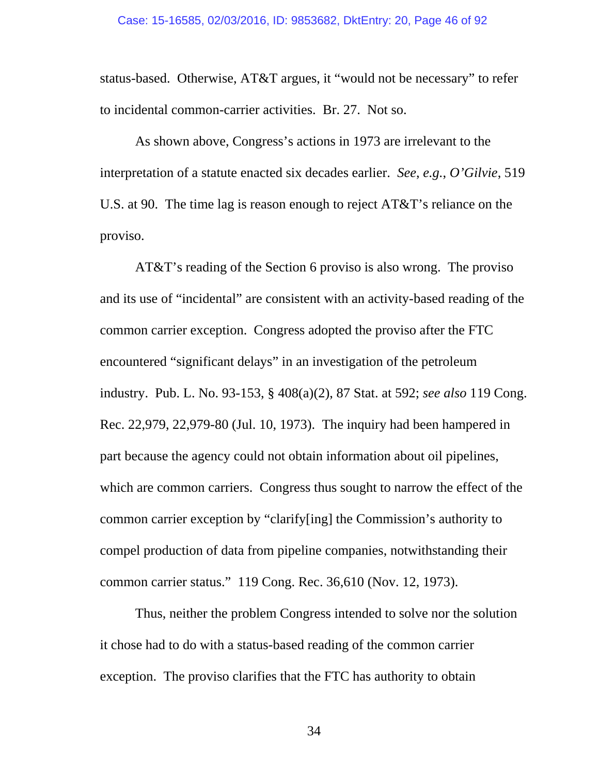status-based. Otherwise, AT&T argues, it "would not be necessary" to refer to incidental common-carrier activities. Br. 27. Not so.

As shown above, Congress's actions in 1973 are irrelevant to the interpretation of a statute enacted six decades earlier. *See*, *e.g.*, *O'Gilvie*, 519 U.S. at 90. The time lag is reason enough to reject AT&T's reliance on the proviso.

AT&T's reading of the Section 6 proviso is also wrong. The proviso and its use of "incidental" are consistent with an activity-based reading of the common carrier exception. Congress adopted the proviso after the FTC encountered "significant delays" in an investigation of the petroleum industry. Pub. L. No. 93-153, § 408(a)(2), 87 Stat. at 592; *see also* 119 Cong. Rec. 22,979, 22,979-80 (Jul. 10, 1973). The inquiry had been hampered in part because the agency could not obtain information about oil pipelines, which are common carriers. Congress thus sought to narrow the effect of the common carrier exception by "clarify[ing] the Commission's authority to compel production of data from pipeline companies, notwithstanding their common carrier status." 119 Cong. Rec. 36,610 (Nov. 12, 1973).

Thus, neither the problem Congress intended to solve nor the solution it chose had to do with a status-based reading of the common carrier exception. The proviso clarifies that the FTC has authority to obtain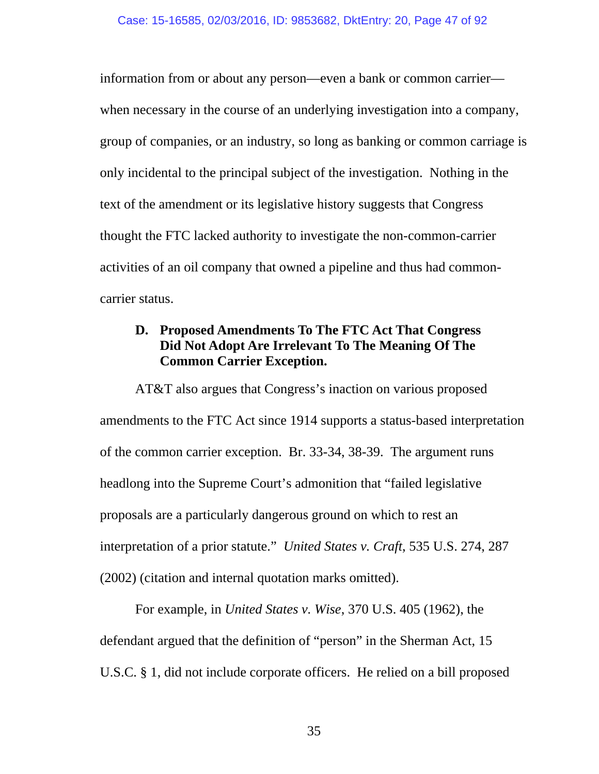information from or about any person—even a bank or common carrier when necessary in the course of an underlying investigation into a company, group of companies, or an industry, so long as banking or common carriage is only incidental to the principal subject of the investigation. Nothing in the text of the amendment or its legislative history suggests that Congress thought the FTC lacked authority to investigate the non-common-carrier activities of an oil company that owned a pipeline and thus had commoncarrier status.

# **D. Proposed Amendments To The FTC Act That Congress Did Not Adopt Are Irrelevant To The Meaning Of The Common Carrier Exception.**

AT&T also argues that Congress's inaction on various proposed amendments to the FTC Act since 1914 supports a status-based interpretation of the common carrier exception. Br. 33-34, 38-39. The argument runs headlong into the Supreme Court's admonition that "failed legislative proposals are a particularly dangerous ground on which to rest an interpretation of a prior statute." *United States v. Craft*, 535 U.S. 274, 287 (2002) (citation and internal quotation marks omitted).

For example, in *United States v. Wise*, 370 U.S. 405 (1962), the defendant argued that the definition of "person" in the Sherman Act, 15 U.S.C. § 1, did not include corporate officers. He relied on a bill proposed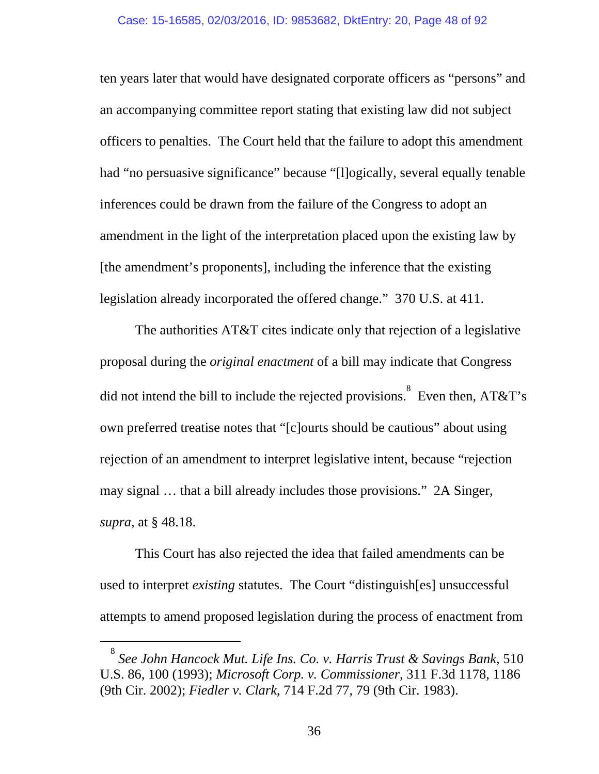ten years later that would have designated corporate officers as "persons" and an accompanying committee report stating that existing law did not subject officers to penalties. The Court held that the failure to adopt this amendment had "no persuasive significance" because "[l]ogically, several equally tenable inferences could be drawn from the failure of the Congress to adopt an amendment in the light of the interpretation placed upon the existing law by [the amendment's proponents], including the inference that the existing legislation already incorporated the offered change." 370 U.S. at 411.

The authorities AT&T cites indicate only that rejection of a legislative proposal during the *original enactment* of a bill may indicate that Congress did not intend the bill to include the rejected provisions.<sup>8</sup> Even then, AT&T's own preferred treatise notes that "[c]ourts should be cautious" about using rejection of an amendment to interpret legislative intent, because "rejection may signal … that a bill already includes those provisions." 2A Singer, *supra*, at § 48.18.

This Court has also rejected the idea that failed amendments can be used to interpret *existing* statutes. The Court "distinguish[es] unsuccessful attempts to amend proposed legislation during the process of enactment from

 $\frac{1}{8}$ *See John Hancock Mut. Life Ins. Co. v. Harris Trust & Savings Bank*, 510 U.S. 86, 100 (1993); *Microsoft Corp. v. Commissioner*, 311 F.3d 1178, 1186 (9th Cir. 2002); *Fiedler v. Clark*, 714 F.2d 77, 79 (9th Cir. 1983).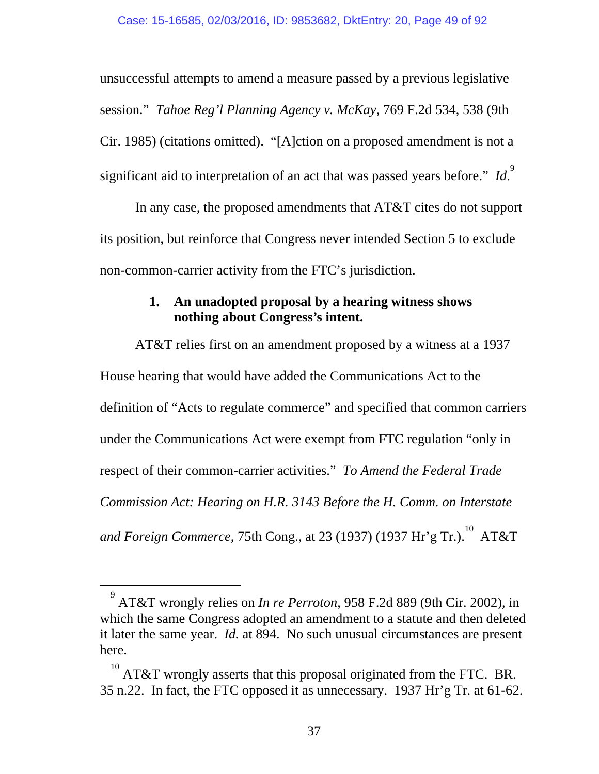unsuccessful attempts to amend a measure passed by a previous legislative session." *Tahoe Reg'l Planning Agency v. McKay*, 769 F.2d 534, 538 (9th Cir. 1985) (citations omitted). "[A]ction on a proposed amendment is not a significant aid to interpretation of an act that was passed years before." Id.

In any case, the proposed amendments that AT&T cites do not support its position, but reinforce that Congress never intended Section 5 to exclude non-common-carrier activity from the FTC's jurisdiction.

# **1. An unadopted proposal by a hearing witness shows nothing about Congress's intent.**

AT&T relies first on an amendment proposed by a witness at a 1937 House hearing that would have added the Communications Act to the definition of "Acts to regulate commerce" and specified that common carriers under the Communications Act were exempt from FTC regulation "only in respect of their common-carrier activities." *To Amend the Federal Trade Commission Act: Hearing on H.R. 3143 Before the H. Comm. on Interstate*  and Foreign Commerce, 75th Cong., at 23 (1937) (1937 Hr'g Tr.). $^{10}$  AT&T

 $\frac{1}{9}$  AT&T wrongly relies on *In re Perroton*, 958 F.2d 889 (9th Cir. 2002), in which the same Congress adopted an amendment to a statute and then deleted it later the same year. *Id.* at 894. No such unusual circumstances are present here.

 $10^{10}$  AT&T wrongly asserts that this proposal originated from the FTC. BR. 35 n.22. In fact, the FTC opposed it as unnecessary. 1937 Hr'g Tr. at 61-62.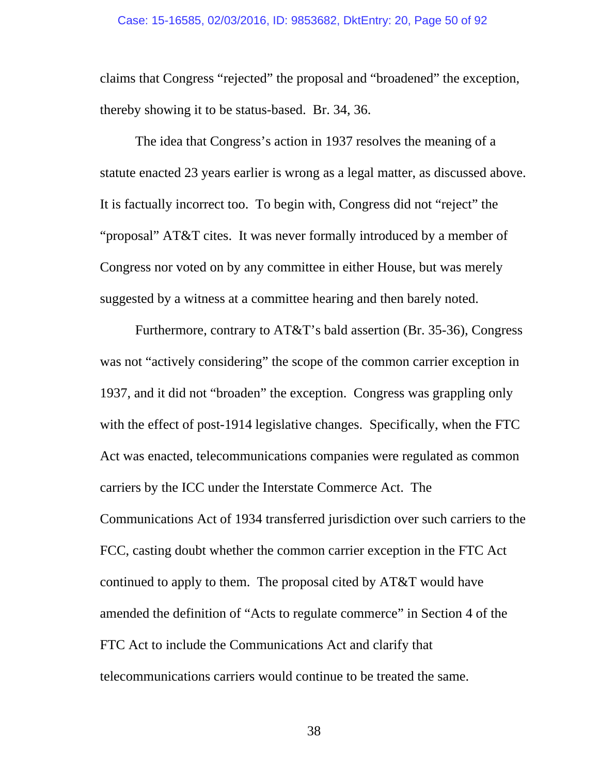#### Case: 15-16585, 02/03/2016, ID: 9853682, DktEntry: 20, Page 50 of 92

claims that Congress "rejected" the proposal and "broadened" the exception, thereby showing it to be status-based. Br. 34, 36.

The idea that Congress's action in 1937 resolves the meaning of a statute enacted 23 years earlier is wrong as a legal matter, as discussed above. It is factually incorrect too. To begin with, Congress did not "reject" the "proposal" AT&T cites. It was never formally introduced by a member of Congress nor voted on by any committee in either House, but was merely suggested by a witness at a committee hearing and then barely noted.

Furthermore, contrary to AT&T's bald assertion (Br. 35-36), Congress was not "actively considering" the scope of the common carrier exception in 1937, and it did not "broaden" the exception. Congress was grappling only with the effect of post-1914 legislative changes. Specifically, when the FTC Act was enacted, telecommunications companies were regulated as common carriers by the ICC under the Interstate Commerce Act. The Communications Act of 1934 transferred jurisdiction over such carriers to the FCC, casting doubt whether the common carrier exception in the FTC Act continued to apply to them. The proposal cited by AT&T would have amended the definition of "Acts to regulate commerce" in Section 4 of the FTC Act to include the Communications Act and clarify that telecommunications carriers would continue to be treated the same.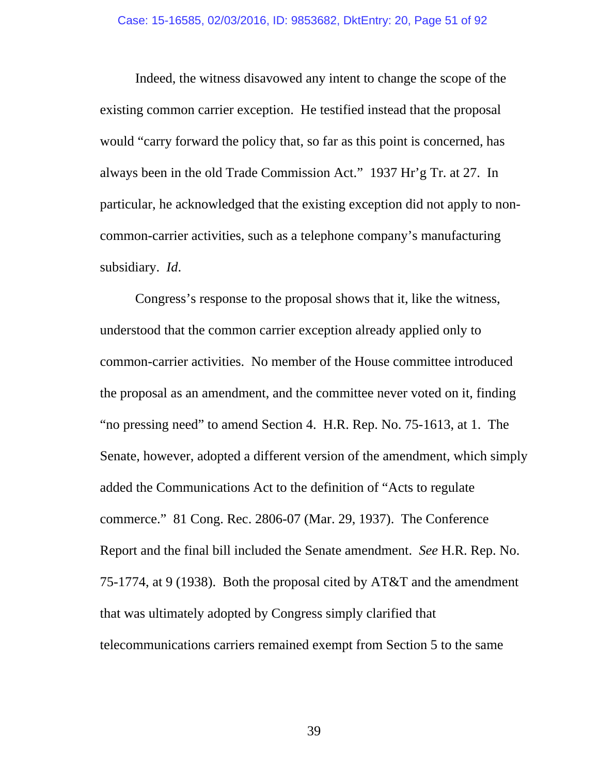Indeed, the witness disavowed any intent to change the scope of the existing common carrier exception. He testified instead that the proposal would "carry forward the policy that, so far as this point is concerned, has always been in the old Trade Commission Act." 1937 Hr'g Tr. at 27. In particular, he acknowledged that the existing exception did not apply to noncommon-carrier activities, such as a telephone company's manufacturing subsidiary. *Id*.

Congress's response to the proposal shows that it, like the witness, understood that the common carrier exception already applied only to common-carrier activities. No member of the House committee introduced the proposal as an amendment, and the committee never voted on it, finding "no pressing need" to amend Section 4. H.R. Rep. No. 75-1613, at 1. The Senate, however, adopted a different version of the amendment, which simply added the Communications Act to the definition of "Acts to regulate commerce." 81 Cong. Rec. 2806-07 (Mar. 29, 1937). The Conference Report and the final bill included the Senate amendment. *See* H.R. Rep. No. 75-1774, at 9 (1938). Both the proposal cited by AT&T and the amendment that was ultimately adopted by Congress simply clarified that telecommunications carriers remained exempt from Section 5 to the same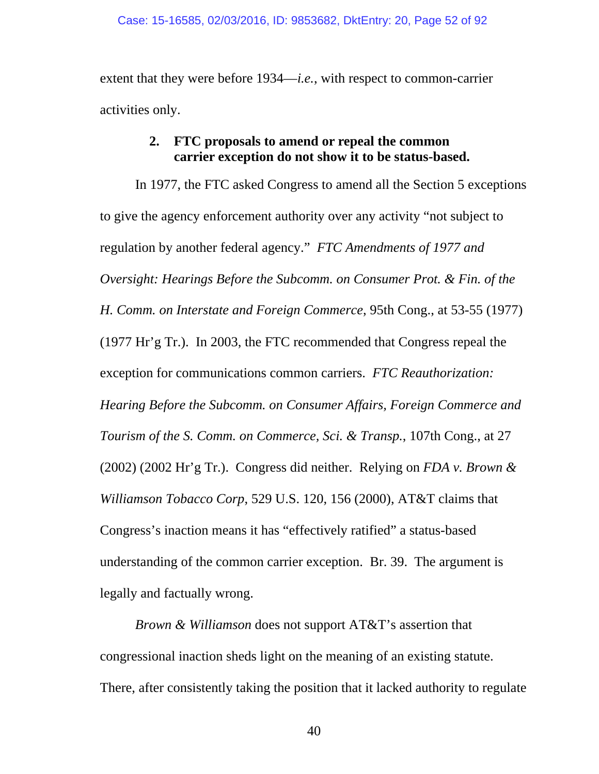extent that they were before 1934—*i.e.*, with respect to common-carrier activities only.

### **2. FTC proposals to amend or repeal the common carrier exception do not show it to be status-based.**

In 1977, the FTC asked Congress to amend all the Section 5 exceptions to give the agency enforcement authority over any activity "not subject to regulation by another federal agency." *FTC Amendments of 1977 and Oversight: Hearings Before the Subcomm. on Consumer Prot. & Fin. of the H. Comm. on Interstate and Foreign Commerce*, 95th Cong., at 53-55 (1977) (1977 Hr'g Tr.). In 2003, the FTC recommended that Congress repeal the exception for communications common carriers. *FTC Reauthorization: Hearing Before the Subcomm. on Consumer Affairs, Foreign Commerce and Tourism of the S. Comm. on Commerce, Sci. & Transp.*, 107th Cong., at 27 (2002) (2002 Hr'g Tr.). Congress did neither. Relying on *FDA v. Brown & Williamson Tobacco Corp*, 529 U.S. 120, 156 (2000), AT&T claims that Congress's inaction means it has "effectively ratified" a status-based understanding of the common carrier exception. Br. 39. The argument is legally and factually wrong.

*Brown & Williamson* does not support AT&T's assertion that congressional inaction sheds light on the meaning of an existing statute. There, after consistently taking the position that it lacked authority to regulate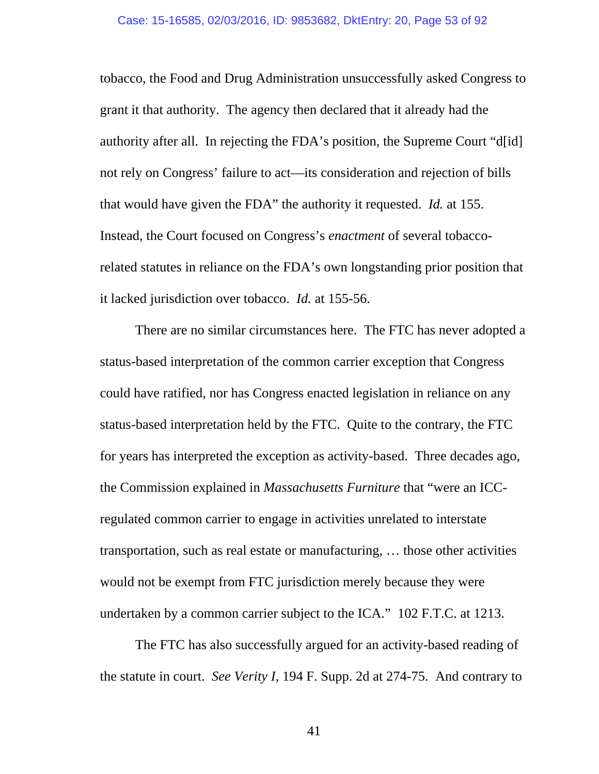tobacco, the Food and Drug Administration unsuccessfully asked Congress to grant it that authority. The agency then declared that it already had the authority after all. In rejecting the FDA's position, the Supreme Court "d[id] not rely on Congress' failure to act—its consideration and rejection of bills that would have given the FDA" the authority it requested. *Id.* at 155. Instead, the Court focused on Congress's *enactment* of several tobaccorelated statutes in reliance on the FDA's own longstanding prior position that it lacked jurisdiction over tobacco. *Id.* at 155-56.

There are no similar circumstances here. The FTC has never adopted a status-based interpretation of the common carrier exception that Congress could have ratified, nor has Congress enacted legislation in reliance on any status-based interpretation held by the FTC. Quite to the contrary, the FTC for years has interpreted the exception as activity-based. Three decades ago, the Commission explained in *Massachusetts Furniture* that "were an ICCregulated common carrier to engage in activities unrelated to interstate transportation, such as real estate or manufacturing, … those other activities would not be exempt from FTC jurisdiction merely because they were undertaken by a common carrier subject to the ICA." 102 F.T.C. at 1213.

The FTC has also successfully argued for an activity-based reading of the statute in court. *See Verity I*, 194 F. Supp. 2d at 274-75. And contrary to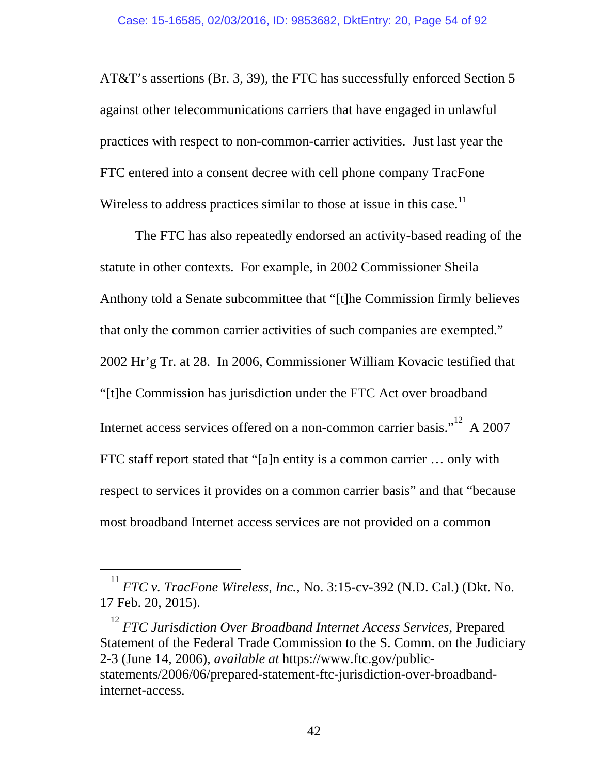AT&T's assertions (Br. 3, 39), the FTC has successfully enforced Section 5 against other telecommunications carriers that have engaged in unlawful practices with respect to non-common-carrier activities. Just last year the FTC entered into a consent decree with cell phone company TracFone Wireless to address practices similar to those at issue in this case.<sup>11</sup>

The FTC has also repeatedly endorsed an activity-based reading of the statute in other contexts. For example, in 2002 Commissioner Sheila Anthony told a Senate subcommittee that "[t]he Commission firmly believes that only the common carrier activities of such companies are exempted." 2002 Hr'g Tr. at 28. In 2006, Commissioner William Kovacic testified that "[t]he Commission has jurisdiction under the FTC Act over broadband Internet access services offered on a non-common carrier basis."<sup>12</sup> A 2007 FTC staff report stated that "[a]n entity is a common carrier … only with respect to services it provides on a common carrier basis" and that "because most broadband Internet access services are not provided on a common

 $^{11}$  *FTC v. TracFone Wireless, Inc.*, No. 3:15-cv-392 (N.D. Cal.) (Dkt. No. 17 Feb. 20, 2015).

<sup>12</sup> *FTC Jurisdiction Over Broadband Internet Access Services*, Prepared Statement of the Federal Trade Commission to the S. Comm. on the Judiciary 2-3 (June 14, 2006), *available at* https://www.ftc.gov/publicstatements/2006/06/prepared-statement-ftc-jurisdiction-over-broadbandinternet-access.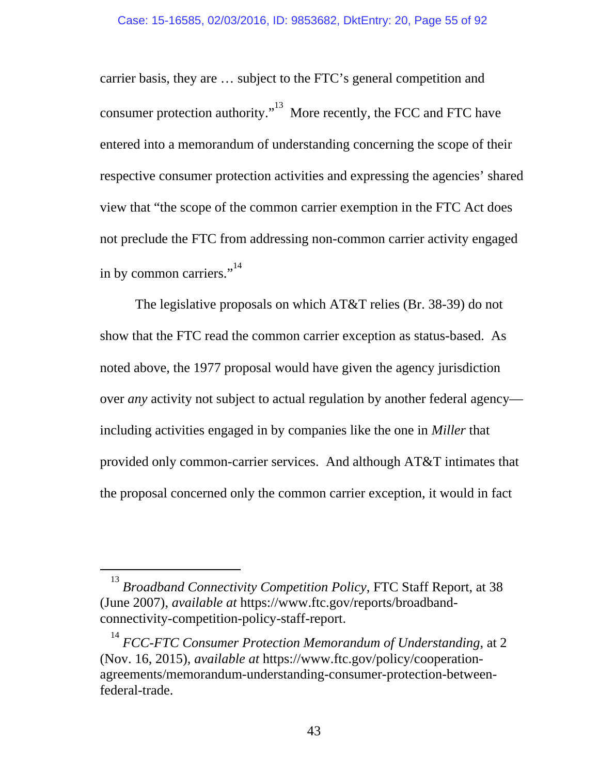carrier basis, they are … subject to the FTC's general competition and consumer protection authority."13 More recently, the FCC and FTC have entered into a memorandum of understanding concerning the scope of their respective consumer protection activities and expressing the agencies' shared view that "the scope of the common carrier exemption in the FTC Act does not preclude the FTC from addressing non-common carrier activity engaged in by common carriers." $14$ 

The legislative proposals on which AT&T relies (Br. 38-39) do not show that the FTC read the common carrier exception as status-based. As noted above, the 1977 proposal would have given the agency jurisdiction over *any* activity not subject to actual regulation by another federal agency including activities engaged in by companies like the one in *Miller* that provided only common-carrier services. And although AT&T intimates that the proposal concerned only the common carrier exception, it would in fact

<sup>&</sup>lt;sup>13</sup> Broadband Connectivity Competition Policy, FTC Staff Report, at 38 (June 2007), *available at* https://www.ftc.gov/reports/broadbandconnectivity-competition-policy-staff-report.

<sup>&</sup>lt;sup>14</sup> FCC-FTC Consumer Protection Memorandum of Understanding, at 2 (Nov. 16, 2015), *available at* https://www.ftc.gov/policy/cooperationagreements/memorandum-understanding-consumer-protection-betweenfederal-trade.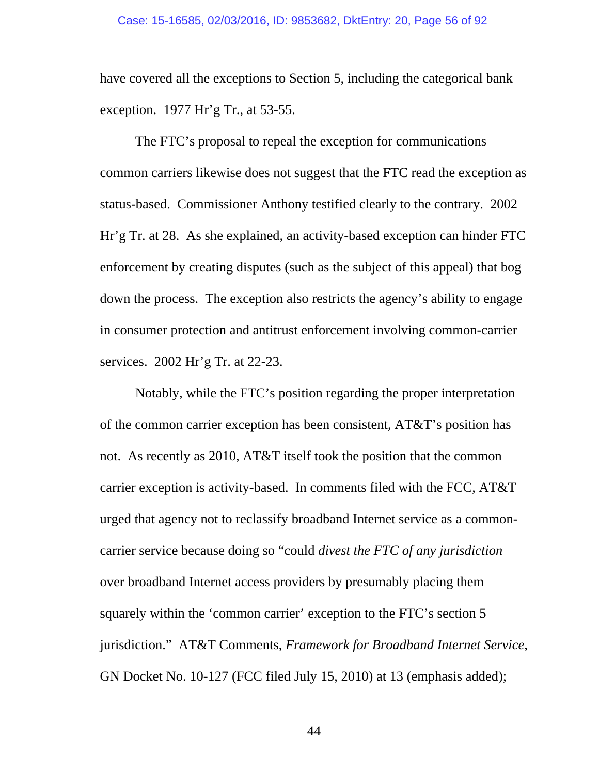have covered all the exceptions to Section 5, including the categorical bank exception. 1977 Hr'g Tr., at 53-55.

The FTC's proposal to repeal the exception for communications common carriers likewise does not suggest that the FTC read the exception as status-based. Commissioner Anthony testified clearly to the contrary. 2002 Hr'g Tr. at 28. As she explained, an activity-based exception can hinder FTC enforcement by creating disputes (such as the subject of this appeal) that bog down the process. The exception also restricts the agency's ability to engage in consumer protection and antitrust enforcement involving common-carrier services. 2002 Hr'g Tr. at 22-23.

Notably, while the FTC's position regarding the proper interpretation of the common carrier exception has been consistent, AT&T's position has not. As recently as 2010, AT&T itself took the position that the common carrier exception is activity-based. In comments filed with the FCC, AT&T urged that agency not to reclassify broadband Internet service as a commoncarrier service because doing so "could *divest the FTC of any jurisdiction* over broadband Internet access providers by presumably placing them squarely within the 'common carrier' exception to the FTC's section 5 jurisdiction." AT&T Comments, *Framework for Broadband Internet Service*, GN Docket No. 10-127 (FCC filed July 15, 2010) at 13 (emphasis added);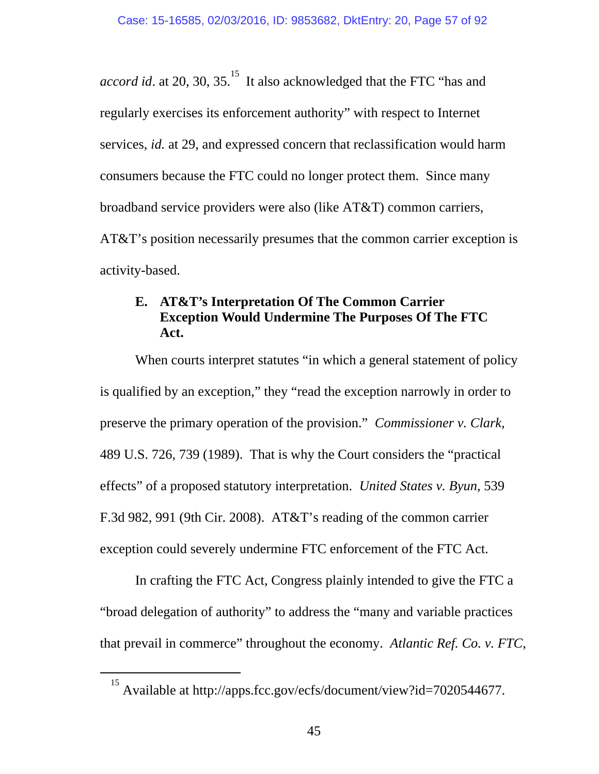*accord id.* at 20, 30, 35.<sup>15</sup> It also acknowledged that the FTC "has and regularly exercises its enforcement authority" with respect to Internet services, *id.* at 29, and expressed concern that reclassification would harm consumers because the FTC could no longer protect them. Since many broadband service providers were also (like AT&T) common carriers, AT&T's position necessarily presumes that the common carrier exception is activity-based.

# **E. AT&T's Interpretation Of The Common Carrier Exception Would Undermine The Purposes Of The FTC Act.**

When courts interpret statutes "in which a general statement of policy is qualified by an exception," they "read the exception narrowly in order to preserve the primary operation of the provision." *Commissioner v. Clark*, 489 U.S. 726, 739 (1989). That is why the Court considers the "practical effects" of a proposed statutory interpretation. *United States v. Byun*, 539 F.3d 982, 991 (9th Cir. 2008). AT&T's reading of the common carrier exception could severely undermine FTC enforcement of the FTC Act.

In crafting the FTC Act, Congress plainly intended to give the FTC a "broad delegation of authority" to address the "many and variable practices that prevail in commerce" throughout the economy. *Atlantic Ref. Co. v. FTC*,

 <sup>15</sup> Available at http://apps.fcc.gov/ecfs/document/view?id=7020544677.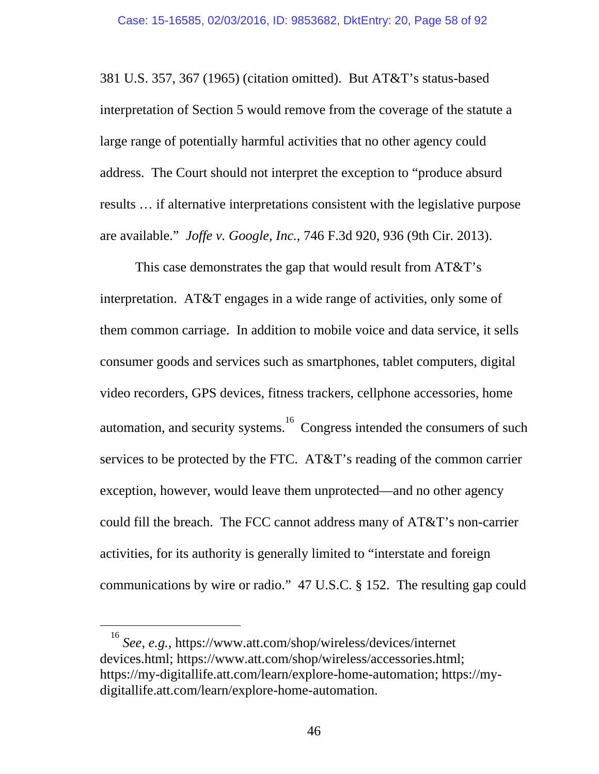381 U.S. 357, 367 (1965) (citation omitted). But AT&T's status-based interpretation of Section 5 would remove from the coverage of the statute a large range of potentially harmful activities that no other agency could address. The Court should not interpret the exception to "produce absurd results … if alternative interpretations consistent with the legislative purpose are available." *Joffe v. Google, Inc.*, 746 F.3d 920, 936 (9th Cir. 2013).

This case demonstrates the gap that would result from AT&T's interpretation. AT&T engages in a wide range of activities, only some of them common carriage. In addition to mobile voice and data service, it sells consumer goods and services such as smartphones, tablet computers, digital video recorders, GPS devices, fitness trackers, cellphone accessories, home automation, and security systems.<sup>16</sup> Congress intended the consumers of such services to be protected by the FTC. AT&T's reading of the common carrier exception, however, would leave them unprotected—and no other agency could fill the breach. The FCC cannot address many of AT&T's non-carrier activities, for its authority is generally limited to "interstate and foreign communications by wire or radio." 47 U.S.C. § 152. The resulting gap could

 $\frac{16}{16}$ *See, e.g.,* https://www.att.com/shop/wireless/devices/internet devices.html; https://www.att.com/shop/wireless/accessories.html; https://my-digitallife.att.com/learn/explore-home-automation; https://mydigitallife.att.com/learn/explore-home-automation.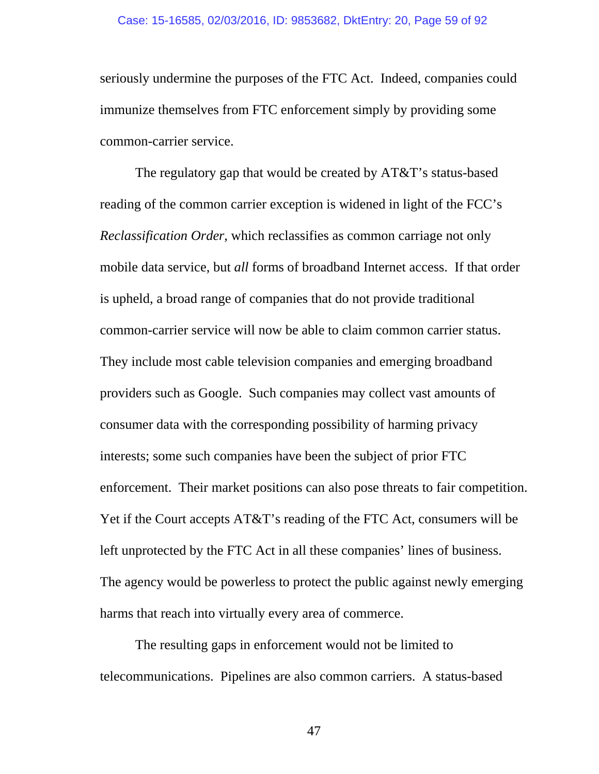seriously undermine the purposes of the FTC Act. Indeed, companies could immunize themselves from FTC enforcement simply by providing some common-carrier service.

The regulatory gap that would be created by AT&T's status-based reading of the common carrier exception is widened in light of the FCC's *Reclassification Order*, which reclassifies as common carriage not only mobile data service, but *all* forms of broadband Internet access. If that order is upheld, a broad range of companies that do not provide traditional common-carrier service will now be able to claim common carrier status. They include most cable television companies and emerging broadband providers such as Google. Such companies may collect vast amounts of consumer data with the corresponding possibility of harming privacy interests; some such companies have been the subject of prior FTC enforcement. Their market positions can also pose threats to fair competition. Yet if the Court accepts AT&T's reading of the FTC Act, consumers will be left unprotected by the FTC Act in all these companies' lines of business. The agency would be powerless to protect the public against newly emerging harms that reach into virtually every area of commerce.

The resulting gaps in enforcement would not be limited to telecommunications. Pipelines are also common carriers. A status-based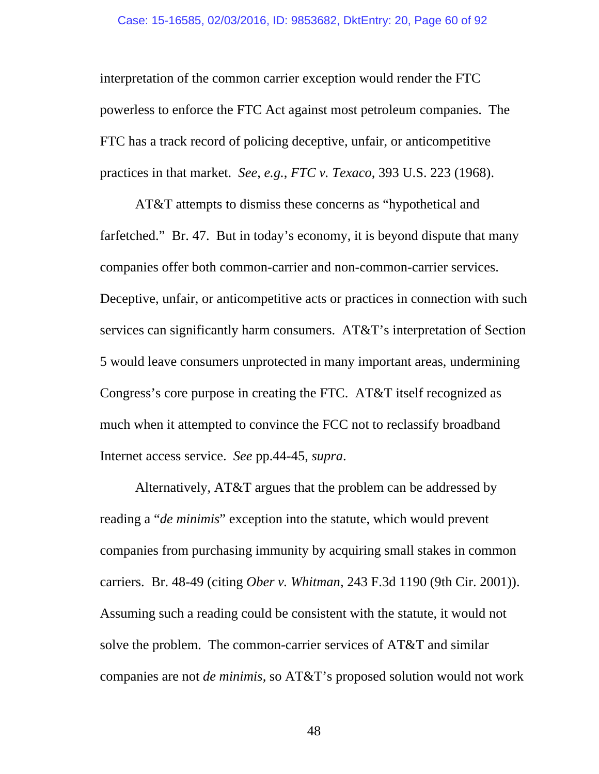interpretation of the common carrier exception would render the FTC powerless to enforce the FTC Act against most petroleum companies. The FTC has a track record of policing deceptive, unfair, or anticompetitive practices in that market. *See*, *e.g.*, *FTC v. Texaco*, 393 U.S. 223 (1968).

AT&T attempts to dismiss these concerns as "hypothetical and farfetched." Br. 47. But in today's economy, it is beyond dispute that many companies offer both common-carrier and non-common-carrier services. Deceptive, unfair, or anticompetitive acts or practices in connection with such services can significantly harm consumers. AT&T's interpretation of Section 5 would leave consumers unprotected in many important areas, undermining Congress's core purpose in creating the FTC. AT&T itself recognized as much when it attempted to convince the FCC not to reclassify broadband Internet access service. *See* pp.44-45, *supra*.

Alternatively, AT&T argues that the problem can be addressed by reading a "*de minimis*" exception into the statute, which would prevent companies from purchasing immunity by acquiring small stakes in common carriers. Br. 48-49 (citing *Ober v. Whitman*, 243 F.3d 1190 (9th Cir. 2001)). Assuming such a reading could be consistent with the statute, it would not solve the problem. The common-carrier services of AT&T and similar companies are not *de minimis*, so AT&T's proposed solution would not work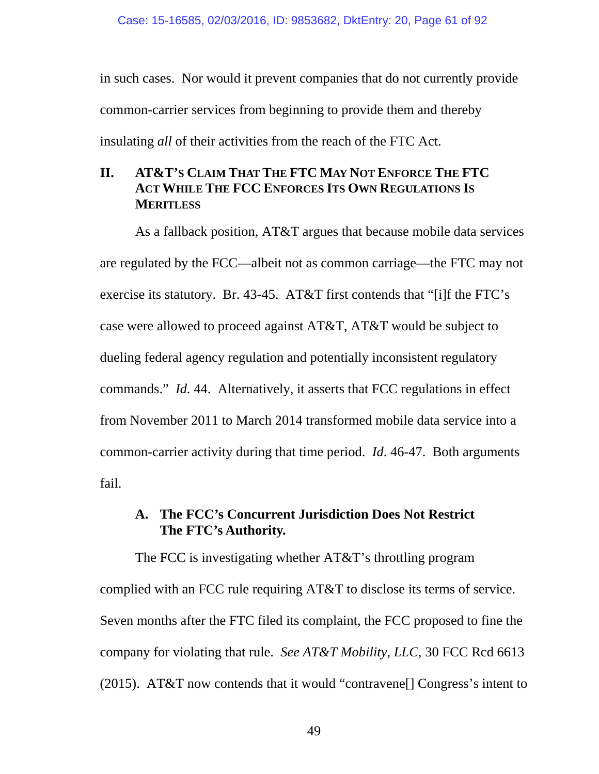in such cases. Nor would it prevent companies that do not currently provide common-carrier services from beginning to provide them and thereby insulating *all* of their activities from the reach of the FTC Act.

#### **II. AT&T'S CLAIM THAT THE FTC MAY NOT ENFORCE THE FTC ACT WHILE THE FCC ENFORCES ITS OWN REGULATIONS IS MERITLESS**

As a fallback position, AT&T argues that because mobile data services are regulated by the FCC—albeit not as common carriage—the FTC may not exercise its statutory. Br. 43-45. AT&T first contends that "[i]f the FTC's case were allowed to proceed against AT&T, AT&T would be subject to dueling federal agency regulation and potentially inconsistent regulatory commands." *Id.* 44. Alternatively, it asserts that FCC regulations in effect from November 2011 to March 2014 transformed mobile data service into a common-carrier activity during that time period. *Id*. 46-47. Both arguments fail.

# **A. The FCC's Concurrent Jurisdiction Does Not Restrict The FTC's Authority.**

The FCC is investigating whether AT&T's throttling program complied with an FCC rule requiring AT&T to disclose its terms of service. Seven months after the FTC filed its complaint, the FCC proposed to fine the company for violating that rule. *See AT&T Mobility, LLC*, 30 FCC Rcd 6613 (2015). AT&T now contends that it would "contravene[] Congress's intent to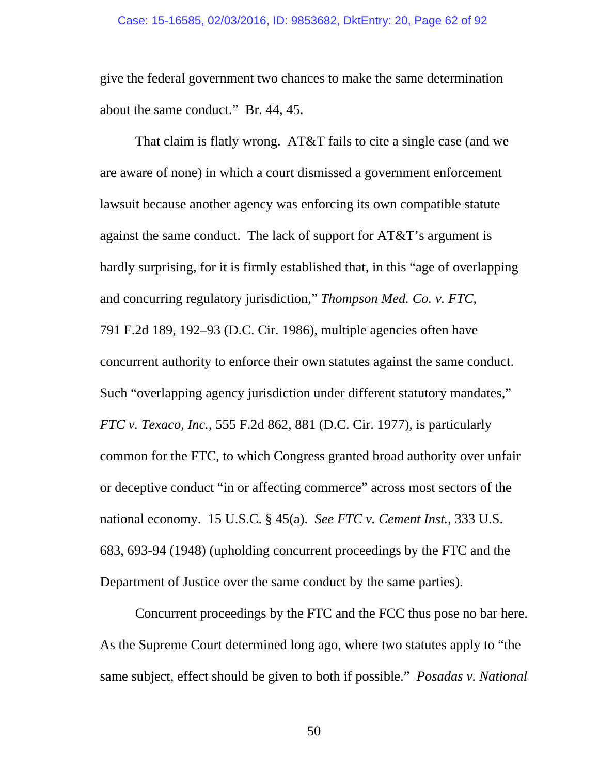give the federal government two chances to make the same determination about the same conduct." Br. 44, 45.

That claim is flatly wrong. AT&T fails to cite a single case (and we are aware of none) in which a court dismissed a government enforcement lawsuit because another agency was enforcing its own compatible statute against the same conduct. The lack of support for AT&T's argument is hardly surprising, for it is firmly established that, in this "age of overlapping and concurring regulatory jurisdiction," *Thompson Med. Co. v. FTC*, 791 F.2d 189, 192–93 (D.C. Cir. 1986), multiple agencies often have concurrent authority to enforce their own statutes against the same conduct. Such "overlapping agency jurisdiction under different statutory mandates," *FTC v. Texaco, Inc.*, 555 F.2d 862, 881 (D.C. Cir. 1977), is particularly common for the FTC, to which Congress granted broad authority over unfair or deceptive conduct "in or affecting commerce" across most sectors of the national economy. 15 U.S.C. § 45(a). *See FTC v. Cement Inst.*, 333 U.S. 683, 693-94 (1948) (upholding concurrent proceedings by the FTC and the Department of Justice over the same conduct by the same parties).

Concurrent proceedings by the FTC and the FCC thus pose no bar here. As the Supreme Court determined long ago, where two statutes apply to "the same subject, effect should be given to both if possible." *Posadas v. National*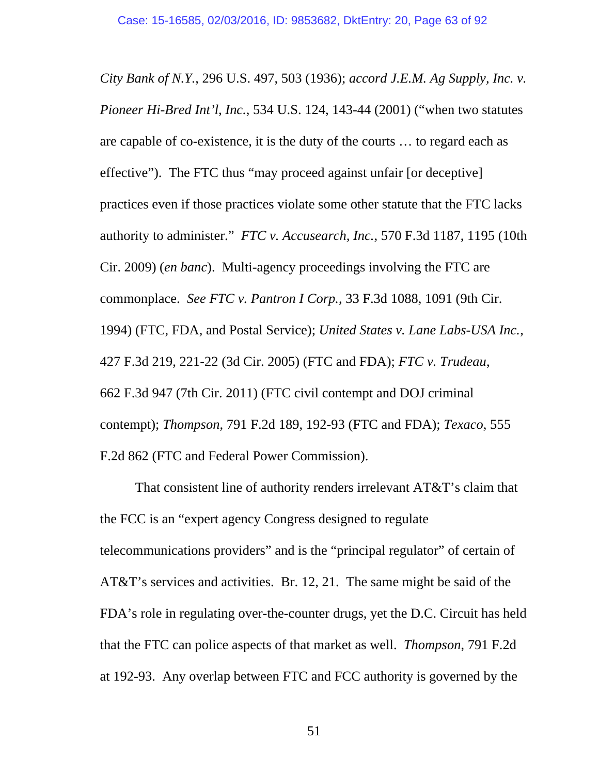*City Bank of N.Y.*, 296 U.S. 497, 503 (1936); *accord J.E.M. Ag Supply, Inc. v. Pioneer Hi-Bred Int'l, Inc.*, 534 U.S. 124, 143-44 (2001) ("when two statutes are capable of co-existence, it is the duty of the courts … to regard each as effective"). The FTC thus "may proceed against unfair [or deceptive] practices even if those practices violate some other statute that the FTC lacks authority to administer." *FTC v. Accusearch, Inc.*, 570 F.3d 1187, 1195 (10th Cir. 2009) (*en banc*). Multi-agency proceedings involving the FTC are commonplace. *See FTC v. Pantron I Corp.*, 33 F.3d 1088, 1091 (9th Cir. 1994) (FTC, FDA, and Postal Service); *United States v. Lane Labs-USA Inc.*, 427 F.3d 219, 221-22 (3d Cir. 2005) (FTC and FDA); *FTC v. Trudeau*, 662 F.3d 947 (7th Cir. 2011) (FTC civil contempt and DOJ criminal contempt); *Thompson*, 791 F.2d 189, 192-93 (FTC and FDA); *Texaco*, 555 F.2d 862 (FTC and Federal Power Commission).

That consistent line of authority renders irrelevant AT&T's claim that the FCC is an "expert agency Congress designed to regulate telecommunications providers" and is the "principal regulator" of certain of AT&T's services and activities. Br. 12, 21. The same might be said of the FDA's role in regulating over-the-counter drugs, yet the D.C. Circuit has held that the FTC can police aspects of that market as well. *Thompson*, 791 F.2d at 192-93. Any overlap between FTC and FCC authority is governed by the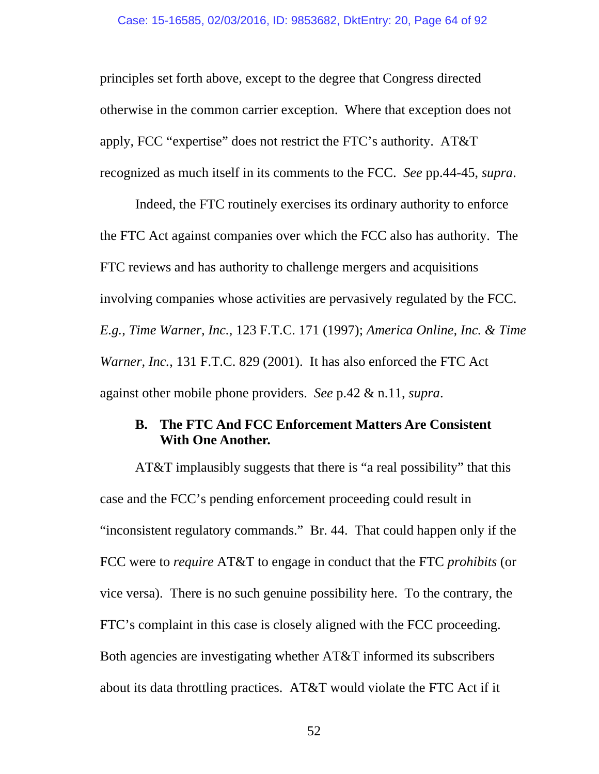principles set forth above, except to the degree that Congress directed otherwise in the common carrier exception. Where that exception does not apply, FCC "expertise" does not restrict the FTC's authority. AT&T recognized as much itself in its comments to the FCC. *See* pp.44-45, *supra*.

Indeed, the FTC routinely exercises its ordinary authority to enforce the FTC Act against companies over which the FCC also has authority. The FTC reviews and has authority to challenge mergers and acquisitions involving companies whose activities are pervasively regulated by the FCC. *E.g.*, *Time Warner, Inc.*, 123 F.T.C. 171 (1997); *America Online, Inc. & Time Warner, Inc.*, 131 F.T.C. 829 (2001). It has also enforced the FTC Act against other mobile phone providers. *See* p.42 & n.11, *supra*.

#### **B. The FTC And FCC Enforcement Matters Are Consistent With One Another.**

AT&T implausibly suggests that there is "a real possibility" that this case and the FCC's pending enforcement proceeding could result in "inconsistent regulatory commands." Br. 44. That could happen only if the FCC were to *require* AT&T to engage in conduct that the FTC *prohibits* (or vice versa). There is no such genuine possibility here. To the contrary, the FTC's complaint in this case is closely aligned with the FCC proceeding. Both agencies are investigating whether AT&T informed its subscribers about its data throttling practices. AT&T would violate the FTC Act if it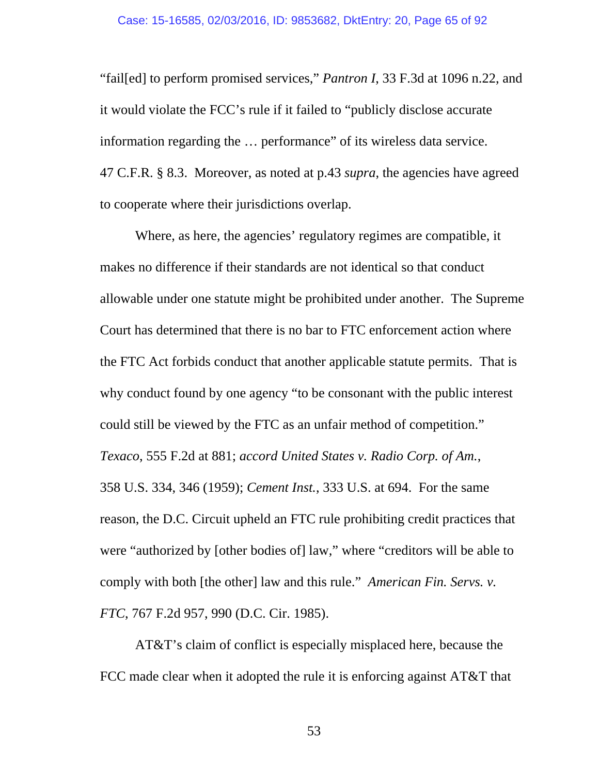"fail[ed] to perform promised services," *Pantron I*, 33 F.3d at 1096 n.22, and it would violate the FCC's rule if it failed to "publicly disclose accurate information regarding the … performance" of its wireless data service. 47 C.F.R. § 8.3. Moreover, as noted at p.43 *supra*, the agencies have agreed to cooperate where their jurisdictions overlap.

Where, as here, the agencies' regulatory regimes are compatible, it makes no difference if their standards are not identical so that conduct allowable under one statute might be prohibited under another. The Supreme Court has determined that there is no bar to FTC enforcement action where the FTC Act forbids conduct that another applicable statute permits. That is why conduct found by one agency "to be consonant with the public interest could still be viewed by the FTC as an unfair method of competition." *Texaco*, 555 F.2d at 881; *accord United States v. Radio Corp. of Am.*, 358 U.S. 334, 346 (1959); *Cement Inst.*, 333 U.S. at 694. For the same reason, the D.C. Circuit upheld an FTC rule prohibiting credit practices that were "authorized by [other bodies of] law," where "creditors will be able to comply with both [the other] law and this rule." *American Fin. Servs. v. FTC*, 767 F.2d 957, 990 (D.C. Cir. 1985).

AT&T's claim of conflict is especially misplaced here, because the FCC made clear when it adopted the rule it is enforcing against AT&T that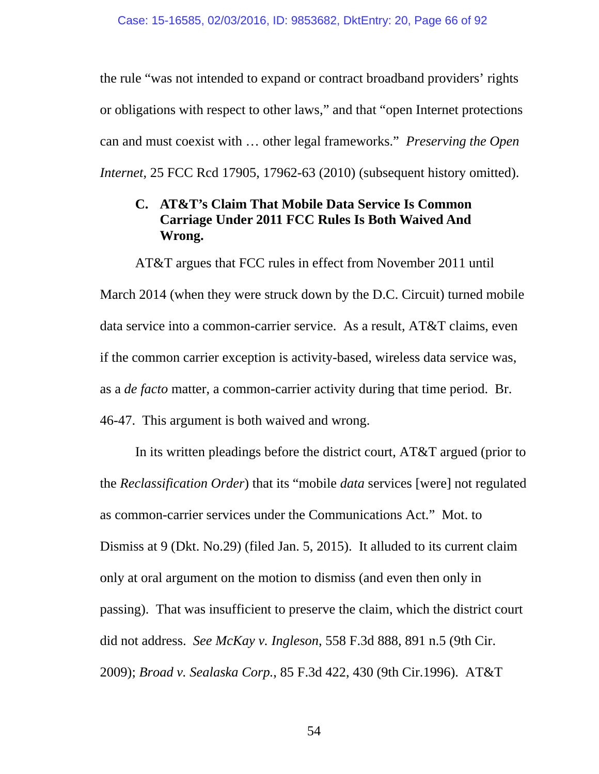the rule "was not intended to expand or contract broadband providers' rights or obligations with respect to other laws," and that "open Internet protections can and must coexist with … other legal frameworks." *Preserving the Open Internet*, 25 FCC Rcd 17905, 17962-63 (2010) (subsequent history omitted).

### **C. AT&T's Claim That Mobile Data Service Is Common Carriage Under 2011 FCC Rules Is Both Waived And Wrong.**

AT&T argues that FCC rules in effect from November 2011 until March 2014 (when they were struck down by the D.C. Circuit) turned mobile data service into a common-carrier service. As a result, AT&T claims, even if the common carrier exception is activity-based, wireless data service was, as a *de facto* matter, a common-carrier activity during that time period. Br. 46-47. This argument is both waived and wrong.

In its written pleadings before the district court, AT&T argued (prior to the *Reclassification Order*) that its "mobile *data* services [were] not regulated as common-carrier services under the Communications Act." Mot. to Dismiss at 9 (Dkt. No.29) (filed Jan. 5, 2015). It alluded to its current claim only at oral argument on the motion to dismiss (and even then only in passing). That was insufficient to preserve the claim, which the district court did not address. *See McKay v. Ingleson*, 558 F.3d 888, 891 n.5 (9th Cir. 2009); *Broad v. Sealaska Corp.*, 85 F.3d 422, 430 (9th Cir.1996). AT&T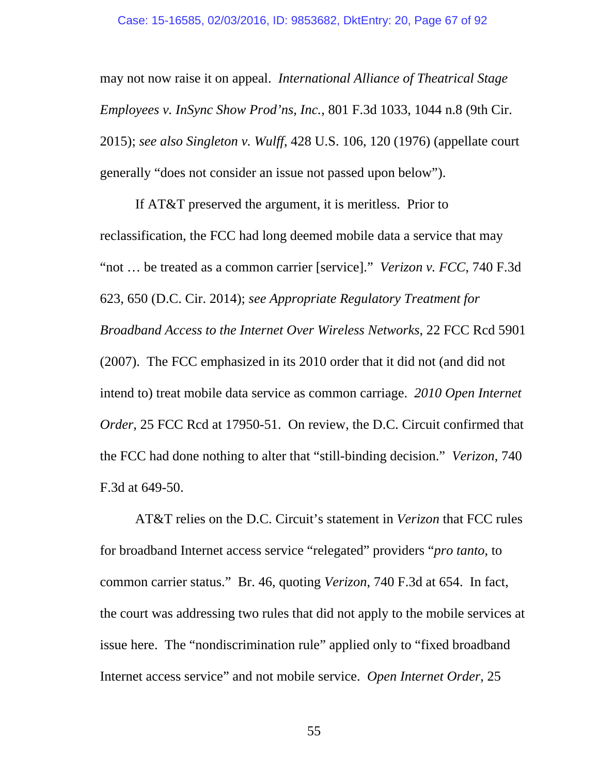may not now raise it on appeal. *International Alliance of Theatrical Stage Employees v. InSync Show Prod'ns, Inc.*, 801 F.3d 1033, 1044 n.8 (9th Cir. 2015); *see also Singleton v. Wulff*, 428 U.S. 106, 120 (1976) (appellate court generally "does not consider an issue not passed upon below").

If AT&T preserved the argument, it is meritless. Prior to reclassification, the FCC had long deemed mobile data a service that may "not … be treated as a common carrier [service]." *Verizon v. FCC*, 740 F.3d 623, 650 (D.C. Cir. 2014); *see Appropriate Regulatory Treatment for Broadband Access to the Internet Over Wireless Networks*, 22 FCC Rcd 5901 (2007). The FCC emphasized in its 2010 order that it did not (and did not intend to) treat mobile data service as common carriage. *2010 Open Internet Order*, 25 FCC Rcd at 17950-51. On review, the D.C. Circuit confirmed that the FCC had done nothing to alter that "still-binding decision." *Verizon*, 740 F.3d at 649-50.

AT&T relies on the D.C. Circuit's statement in *Verizon* that FCC rules for broadband Internet access service "relegated" providers "*pro tanto*, to common carrier status." Br. 46, quoting *Verizon*, 740 F.3d at 654. In fact, the court was addressing two rules that did not apply to the mobile services at issue here. The "nondiscrimination rule" applied only to "fixed broadband Internet access service" and not mobile service. *Open Internet Order*, 25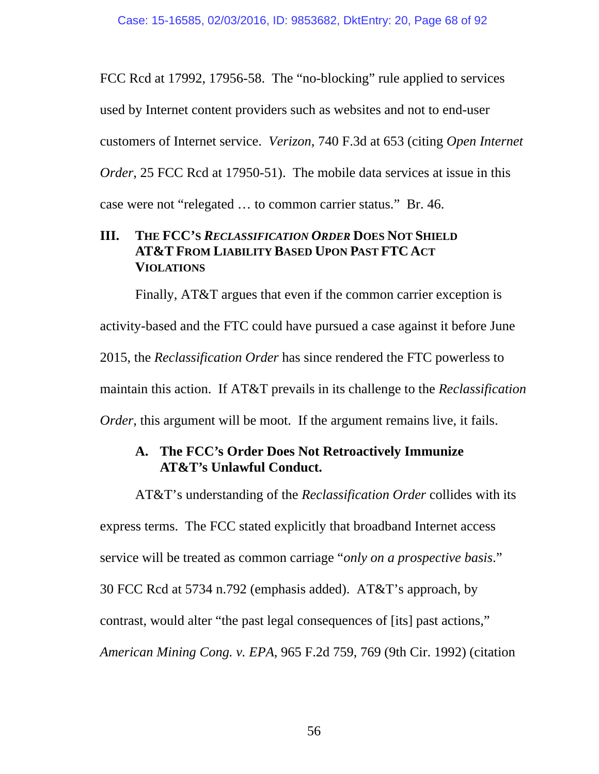FCC Rcd at 17992, 17956-58. The "no-blocking" rule applied to services used by Internet content providers such as websites and not to end-user customers of Internet service. *Verizon*, 740 F.3d at 653 (citing *Open Internet Order*, 25 FCC Rcd at 17950-51). The mobile data services at issue in this case were not "relegated … to common carrier status." Br. 46.

## **III. THE FCC'S** *RECLASSIFICATION ORDER* **DOES NOT SHIELD AT&T FROM LIABILITY BASED UPON PAST FTC ACT VIOLATIONS**

Finally, AT&T argues that even if the common carrier exception is activity-based and the FTC could have pursued a case against it before June 2015, the *Reclassification Order* has since rendered the FTC powerless to maintain this action. If AT&T prevails in its challenge to the *Reclassification Order*, this argument will be moot. If the argument remains live, it fails.

# **A. The FCC's Order Does Not Retroactively Immunize AT&T's Unlawful Conduct.**

AT&T's understanding of the *Reclassification Order* collides with its express terms. The FCC stated explicitly that broadband Internet access service will be treated as common carriage "*only on a prospective basis*." 30 FCC Rcd at 5734 n.792 (emphasis added). AT&T's approach, by contrast, would alter "the past legal consequences of [its] past actions," *American Mining Cong. v. EPA*, 965 F.2d 759, 769 (9th Cir. 1992) (citation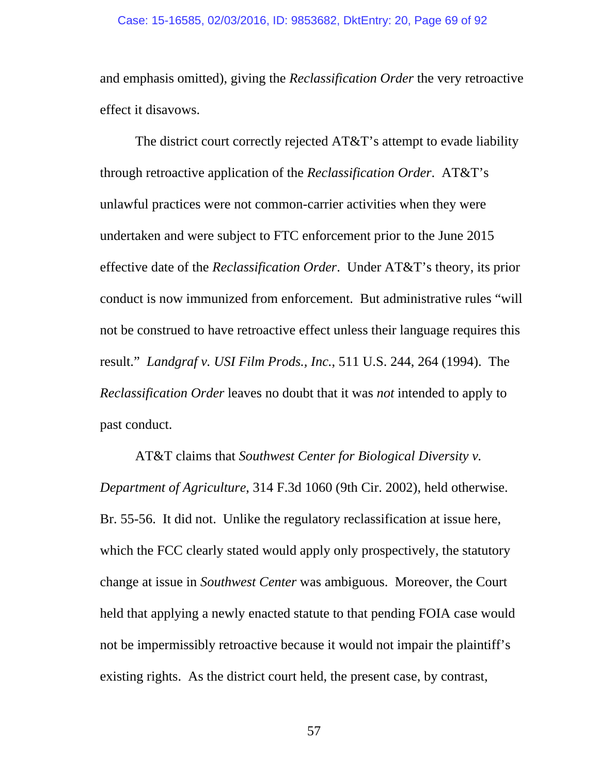and emphasis omitted), giving the *Reclassification Order* the very retroactive effect it disavows.

The district court correctly rejected AT&T's attempt to evade liability through retroactive application of the *Reclassification Order*. AT&T's unlawful practices were not common-carrier activities when they were undertaken and were subject to FTC enforcement prior to the June 2015 effective date of the *Reclassification Order*. Under AT&T's theory, its prior conduct is now immunized from enforcement. But administrative rules "will not be construed to have retroactive effect unless their language requires this result." *Landgraf v. USI Film Prods., Inc.*, 511 U.S. 244, 264 (1994). The *Reclassification Order* leaves no doubt that it was *not* intended to apply to past conduct.

AT&T claims that *Southwest Center for Biological Diversity v. Department of Agriculture*, 314 F.3d 1060 (9th Cir. 2002), held otherwise. Br. 55-56. It did not. Unlike the regulatory reclassification at issue here, which the FCC clearly stated would apply only prospectively, the statutory change at issue in *Southwest Center* was ambiguous. Moreover, the Court held that applying a newly enacted statute to that pending FOIA case would not be impermissibly retroactive because it would not impair the plaintiff's existing rights. As the district court held, the present case, by contrast,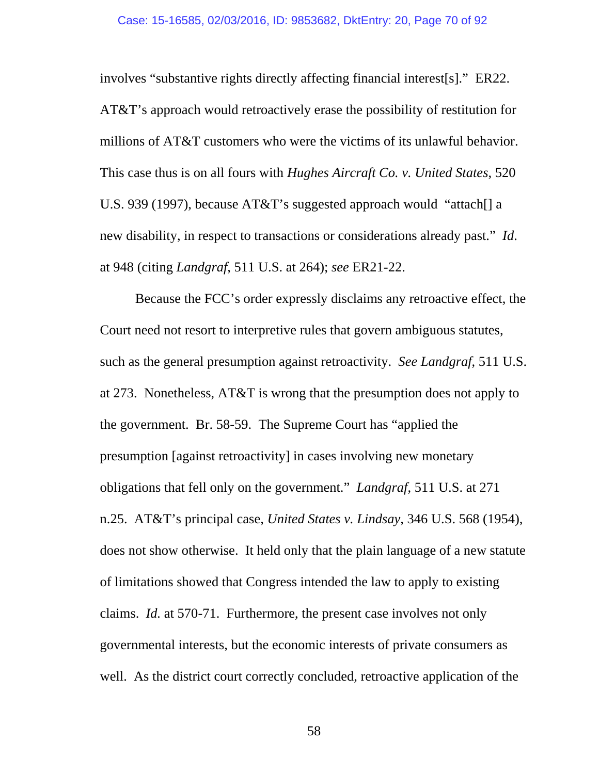involves "substantive rights directly affecting financial interest[s]." ER22. AT&T's approach would retroactively erase the possibility of restitution for millions of AT&T customers who were the victims of its unlawful behavior. This case thus is on all fours with *Hughes Aircraft Co. v. United States*, 520 U.S. 939 (1997), because AT&T's suggested approach would "attach[] a new disability, in respect to transactions or considerations already past." *Id*. at 948 (citing *Landgraf*, 511 U.S. at 264); *see* ER21-22.

Because the FCC's order expressly disclaims any retroactive effect, the Court need not resort to interpretive rules that govern ambiguous statutes, such as the general presumption against retroactivity. *See Landgraf*, 511 U.S. at 273. Nonetheless, AT&T is wrong that the presumption does not apply to the government. Br. 58-59. The Supreme Court has "applied the presumption [against retroactivity] in cases involving new monetary obligations that fell only on the government." *Landgraf*, 511 U.S. at 271 n.25. AT&T's principal case, *United States v. Lindsay*, 346 U.S. 568 (1954), does not show otherwise. It held only that the plain language of a new statute of limitations showed that Congress intended the law to apply to existing claims. *Id.* at 570-71. Furthermore, the present case involves not only governmental interests, but the economic interests of private consumers as well. As the district court correctly concluded, retroactive application of the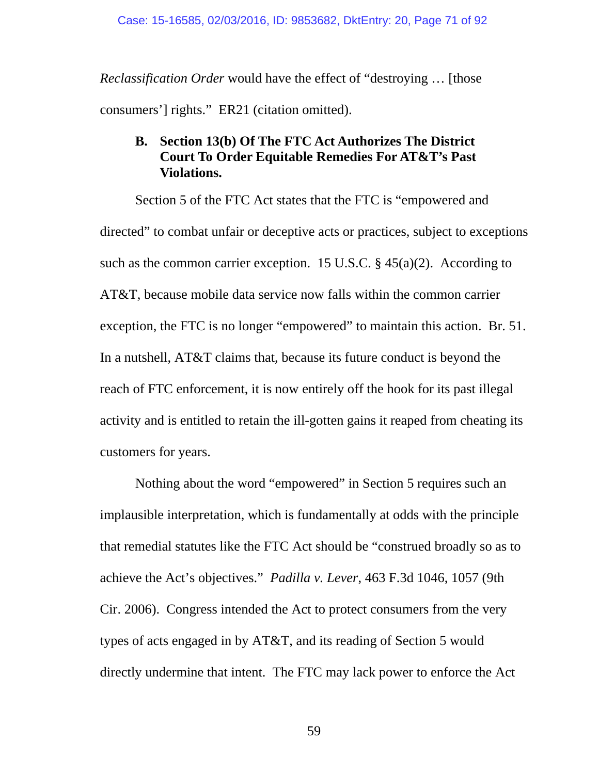*Reclassification Order* would have the effect of "destroying … [those consumers'] rights." ER21 (citation omitted).

# **B. Section 13(b) Of The FTC Act Authorizes The District Court To Order Equitable Remedies For AT&T's Past Violations.**

Section 5 of the FTC Act states that the FTC is "empowered and directed" to combat unfair or deceptive acts or practices, subject to exceptions such as the common carrier exception. 15 U.S.C.  $\S$  45(a)(2). According to AT&T, because mobile data service now falls within the common carrier exception, the FTC is no longer "empowered" to maintain this action. Br. 51. In a nutshell, AT&T claims that, because its future conduct is beyond the reach of FTC enforcement, it is now entirely off the hook for its past illegal activity and is entitled to retain the ill-gotten gains it reaped from cheating its customers for years.

Nothing about the word "empowered" in Section 5 requires such an implausible interpretation, which is fundamentally at odds with the principle that remedial statutes like the FTC Act should be "construed broadly so as to achieve the Act's objectives." *Padilla v. Lever*, 463 F.3d 1046, 1057 (9th Cir. 2006). Congress intended the Act to protect consumers from the very types of acts engaged in by AT&T, and its reading of Section 5 would directly undermine that intent. The FTC may lack power to enforce the Act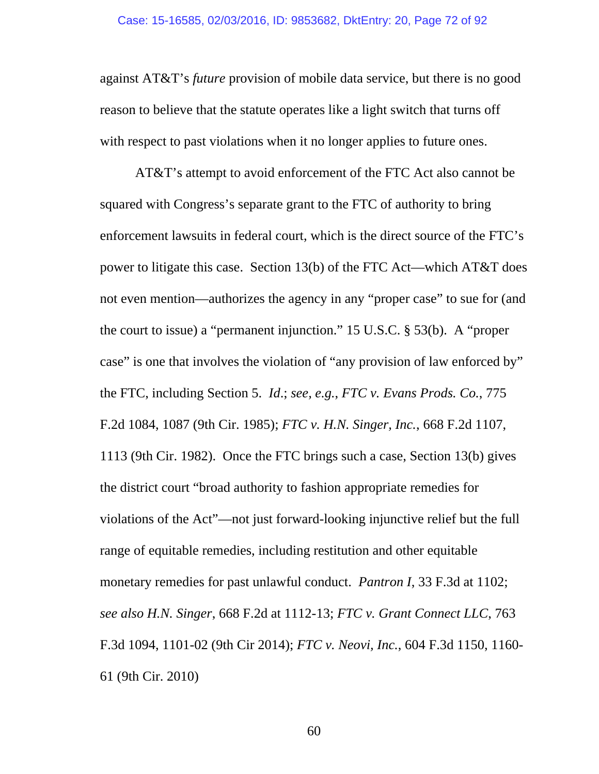against AT&T's *future* provision of mobile data service, but there is no good reason to believe that the statute operates like a light switch that turns off with respect to past violations when it no longer applies to future ones.

AT&T's attempt to avoid enforcement of the FTC Act also cannot be squared with Congress's separate grant to the FTC of authority to bring enforcement lawsuits in federal court, which is the direct source of the FTC's power to litigate this case. Section 13(b) of the FTC Act—which AT&T does not even mention—authorizes the agency in any "proper case" to sue for (and the court to issue) a "permanent injunction." 15 U.S.C. § 53(b). A "proper case" is one that involves the violation of "any provision of law enforced by" the FTC, including Section 5. *Id*.; *see, e.g.*, *FTC v. Evans Prods. Co.*, 775 F.2d 1084, 1087 (9th Cir. 1985); *FTC v. H.N. Singer, Inc.*, 668 F.2d 1107, 1113 (9th Cir. 1982). Once the FTC brings such a case, Section 13(b) gives the district court "broad authority to fashion appropriate remedies for violations of the Act"—not just forward-looking injunctive relief but the full range of equitable remedies, including restitution and other equitable monetary remedies for past unlawful conduct. *Pantron I*, 33 F.3d at 1102; *see also H.N. Singer*, 668 F.2d at 1112-13; *FTC v. Grant Connect LLC*, 763 F.3d 1094, 1101-02 (9th Cir 2014); *FTC v. Neovi, Inc.*, 604 F.3d 1150, 1160- 61 (9th Cir. 2010)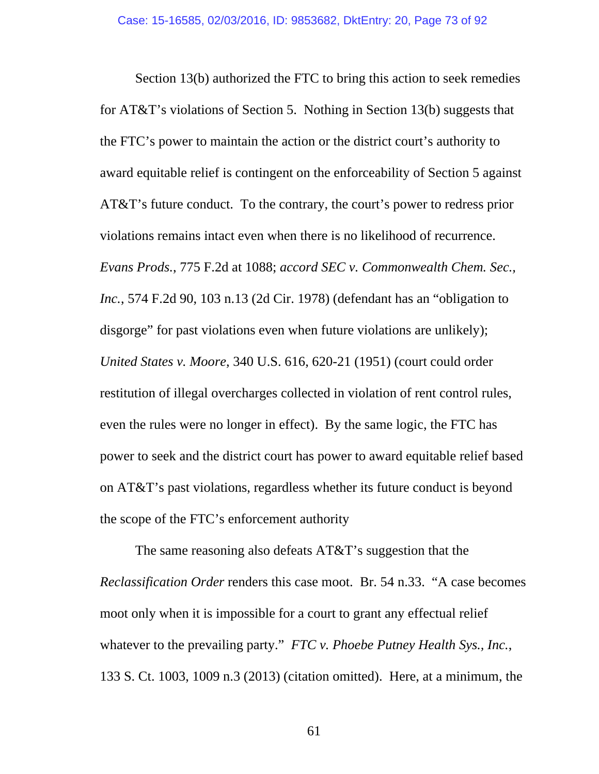Section 13(b) authorized the FTC to bring this action to seek remedies for AT&T's violations of Section 5. Nothing in Section 13(b) suggests that the FTC's power to maintain the action or the district court's authority to award equitable relief is contingent on the enforceability of Section 5 against AT&T's future conduct. To the contrary, the court's power to redress prior violations remains intact even when there is no likelihood of recurrence. *Evans Prods.*, 775 F.2d at 1088; *accord SEC v. Commonwealth Chem. Sec., Inc.*, 574 F.2d 90, 103 n.13 (2d Cir. 1978) (defendant has an "obligation to disgorge" for past violations even when future violations are unlikely); *United States v. Moore*, 340 U.S. 616, 620-21 (1951) (court could order restitution of illegal overcharges collected in violation of rent control rules, even the rules were no longer in effect). By the same logic, the FTC has power to seek and the district court has power to award equitable relief based on AT&T's past violations, regardless whether its future conduct is beyond the scope of the FTC's enforcement authority

The same reasoning also defeats AT&T's suggestion that the *Reclassification Order* renders this case moot. Br. 54 n.33. "A case becomes moot only when it is impossible for a court to grant any effectual relief whatever to the prevailing party." *FTC v. Phoebe Putney Health Sys., Inc.*, 133 S. Ct. 1003, 1009 n.3 (2013) (citation omitted). Here, at a minimum, the

61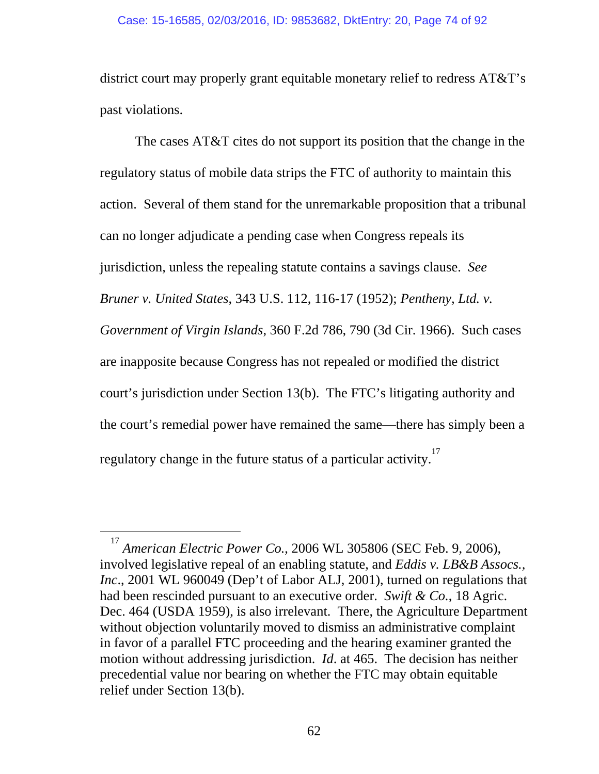## Case: 15-16585, 02/03/2016, ID: 9853682, DktEntry: 20, Page 74 of 92

district court may properly grant equitable monetary relief to redress AT&T's past violations.

The cases AT&T cites do not support its position that the change in the regulatory status of mobile data strips the FTC of authority to maintain this action. Several of them stand for the unremarkable proposition that a tribunal can no longer adjudicate a pending case when Congress repeals its jurisdiction, unless the repealing statute contains a savings clause. *See Bruner v. United States*, 343 U.S. 112, 116-17 (1952); *Pentheny, Ltd. v. Government of Virgin Islands*, 360 F.2d 786, 790 (3d Cir. 1966). Such cases are inapposite because Congress has not repealed or modified the district court's jurisdiction under Section 13(b). The FTC's litigating authority and the court's remedial power have remained the same—there has simply been a regulatory change in the future status of a particular activity.<sup>17</sup>

<sup>17</sup> *American Electric Power Co.*, 2006 WL 305806 (SEC Feb. 9, 2006), involved legislative repeal of an enabling statute, and *Eddis v. LB&B Assocs., Inc*., 2001 WL 960049 (Dep't of Labor ALJ, 2001), turned on regulations that had been rescinded pursuant to an executive order. *Swift & Co.*, 18 Agric. Dec. 464 (USDA 1959), is also irrelevant. There, the Agriculture Department without objection voluntarily moved to dismiss an administrative complaint in favor of a parallel FTC proceeding and the hearing examiner granted the motion without addressing jurisdiction. *Id*. at 465. The decision has neither precedential value nor bearing on whether the FTC may obtain equitable relief under Section 13(b).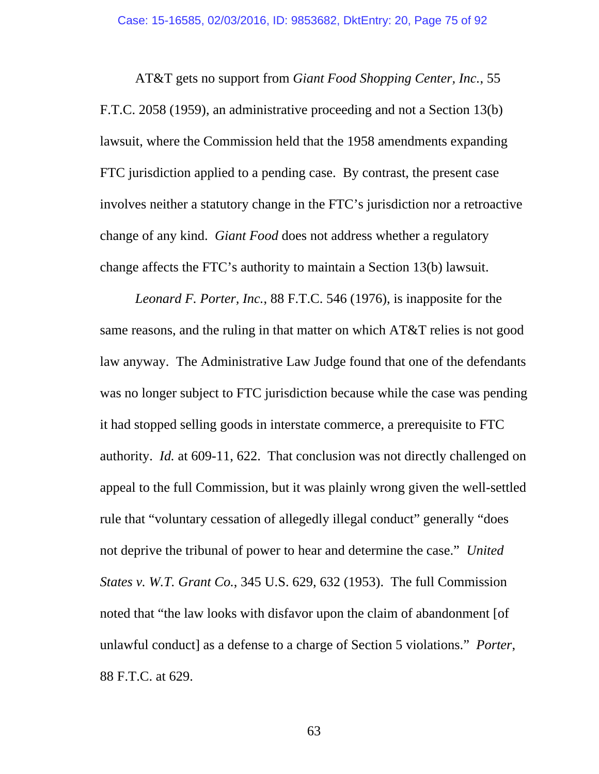AT&T gets no support from *Giant Food Shopping Center, Inc.*, 55 F.T.C. 2058 (1959), an administrative proceeding and not a Section 13(b) lawsuit, where the Commission held that the 1958 amendments expanding FTC jurisdiction applied to a pending case. By contrast, the present case involves neither a statutory change in the FTC's jurisdiction nor a retroactive change of any kind. *Giant Food* does not address whether a regulatory change affects the FTC's authority to maintain a Section 13(b) lawsuit.

*Leonard F. Porter, Inc.*, 88 F.T.C. 546 (1976), is inapposite for the same reasons, and the ruling in that matter on which AT&T relies is not good law anyway. The Administrative Law Judge found that one of the defendants was no longer subject to FTC jurisdiction because while the case was pending it had stopped selling goods in interstate commerce, a prerequisite to FTC authority. *Id.* at 609-11, 622. That conclusion was not directly challenged on appeal to the full Commission, but it was plainly wrong given the well-settled rule that "voluntary cessation of allegedly illegal conduct" generally "does not deprive the tribunal of power to hear and determine the case." *United States v. W.T. Grant Co.*, 345 U.S. 629, 632 (1953). The full Commission noted that "the law looks with disfavor upon the claim of abandonment [of unlawful conduct] as a defense to a charge of Section 5 violations." *Porter*, 88 F.T.C. at 629.

63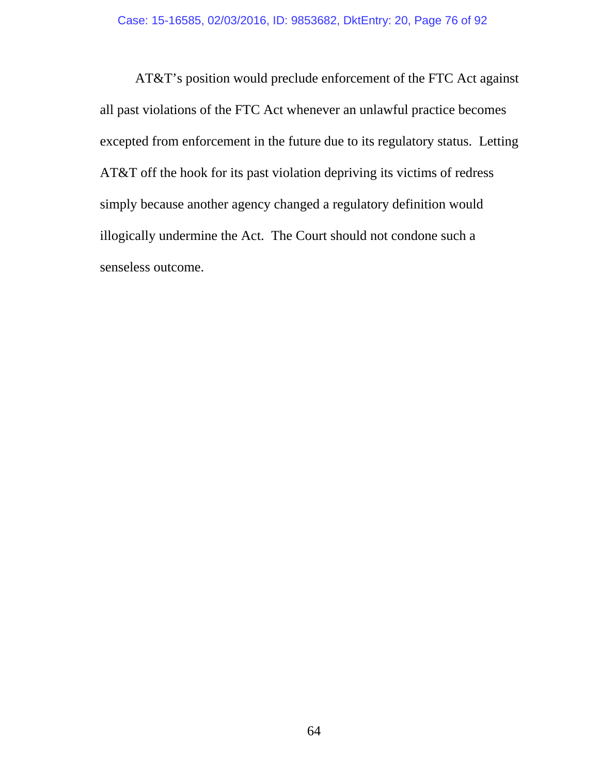AT&T's position would preclude enforcement of the FTC Act against all past violations of the FTC Act whenever an unlawful practice becomes excepted from enforcement in the future due to its regulatory status. Letting AT&T off the hook for its past violation depriving its victims of redress simply because another agency changed a regulatory definition would illogically undermine the Act. The Court should not condone such a senseless outcome.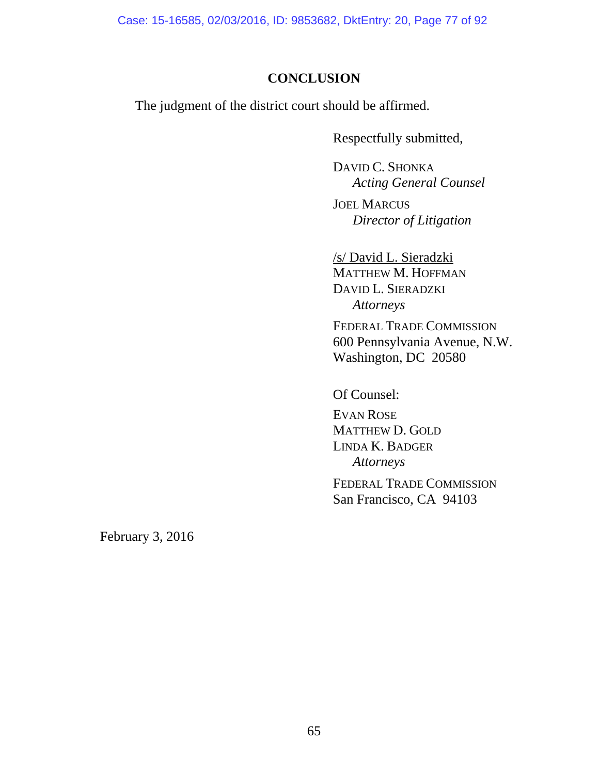Case: 15-16585, 02/03/2016, ID: 9853682, DktEntry: 20, Page 77 of 92

## **CONCLUSION**

The judgment of the district court should be affirmed.

Respectfully submitted,

 DAVID C. SHONKA *Acting General Counsel* 

JOEL MARCUS *Director of Litigation* 

 /s/ David L. Sieradzki MATTHEW M. HOFFMAN DAVID L. SIERADZKI *Attorneys* 

FEDERAL TRADE COMMISSION 600 Pennsylvania Avenue, N.W. Washington, DC 20580

Of Counsel:

EVAN ROSE MATTHEW D. GOLD LINDA K. BADGER *Attorneys* 

FEDERAL TRADE COMMISSION San Francisco, CA 94103

February 3, 2016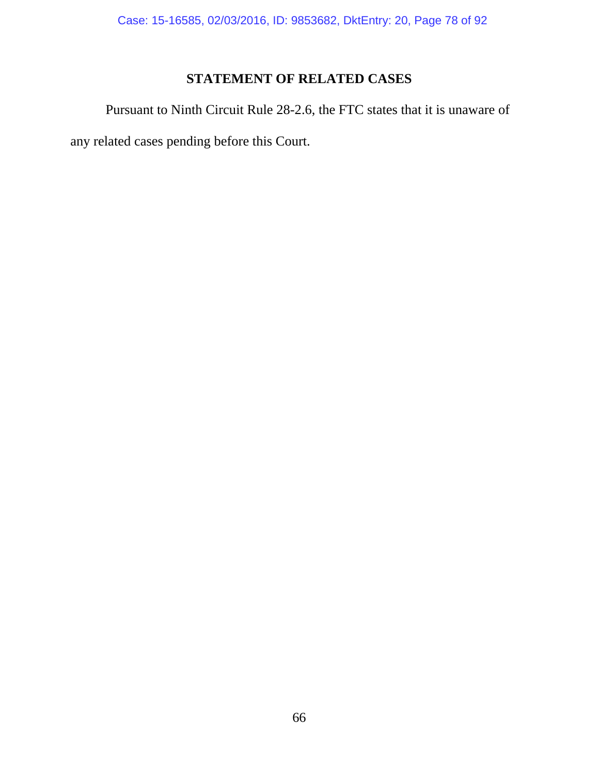## **STATEMENT OF RELATED CASES**

 Pursuant to Ninth Circuit Rule 28-2.6, the FTC states that it is unaware of any related cases pending before this Court.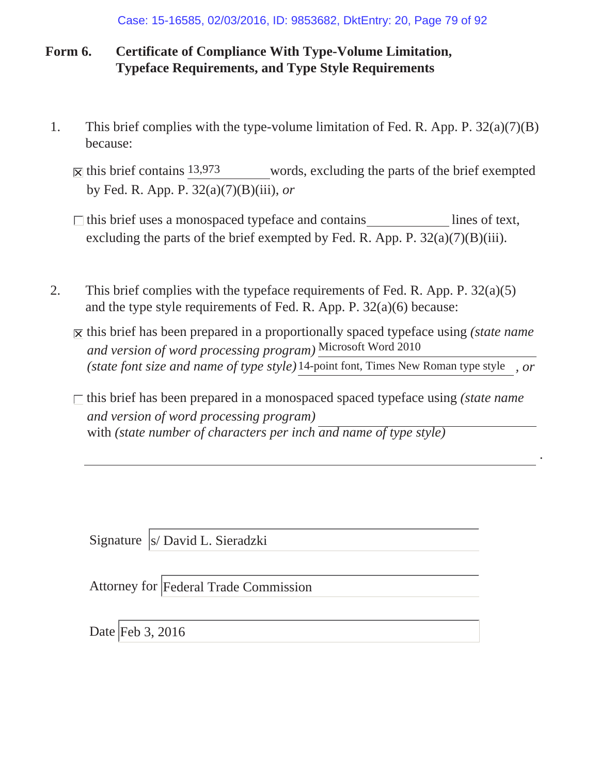Case: 15-16585, 02/03/2016, ID: 9853682, DktEntry: 20, Page 79 of 92

## **Form 6. Certificate of Compliance With Type-Volume Limitation, Typeface Requirements, and Type Style Requirements**

- 1. This brief complies with the type-volume limitation of Fed. R. App. P. 32(a)(7)(B) because:
	- words, excluding the parts of the brief exempted by Fed. R. App. P. 32(a)(7)(B)(iii), *or*  $\overline{\mathbf{X}}$  this brief contains 13,973
	- excluding the parts of the brief exempted by Fed. R. App. P.  $32(a)(7)(B)(iii)$ .  $\Box$  this brief uses a monospaced typeface and contains lines of text,
- 2. This brief complies with the typeface requirements of Fed. R. App. P. 32(a)(5) and the type style requirements of Fed. R. App. P. 32(a)(6) because:
	- $\overline{X}$  this brief has been prepared in a proportionally spaced typeface using *(state name*) *and version of word processing program)* Microsoft Word 2010 *(state font size and name of type style) , or* 14-point font, Times New Roman type style

*and version of word processing program)* with *(state number of characters per inch and name of type style)*  $\Box$  this brief has been prepared in a monospaced spaced typeface using *(state name*)

*.*

Signature | s/ David L. Sieradzki

Attorney for Federal Trade Commission

Date Feb 3, 2016